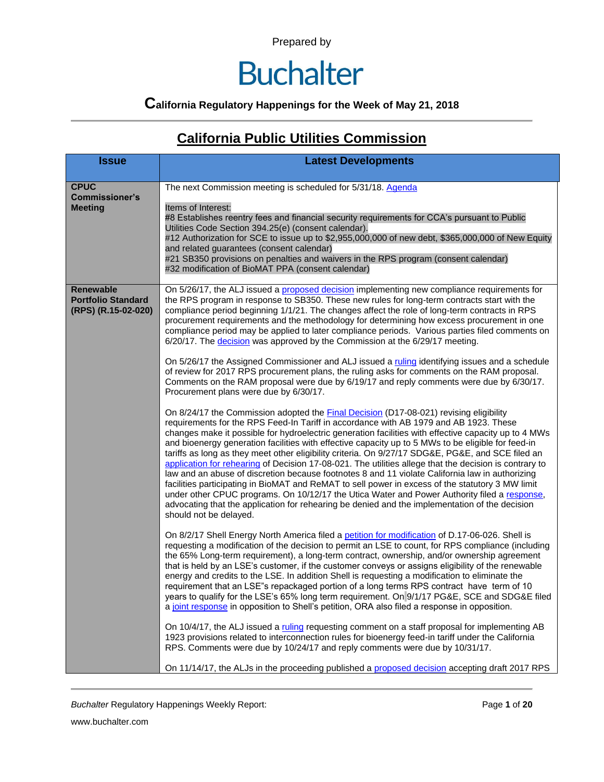### **Buchalter**

### **California Regulatory Happenings for the Week of May 21, 2018**

#### **California Public Utilities Commission**

| <b>Issue</b>                                                         | <b>Latest Developments</b>                                                                                                                                                                                                                                                                                                                                                                                                                                                                                                                                                                                                                                                                                                                                                                                                                                                                                                                                                                                                                                                                                                                                                                                                                                                                                                                                                                                                                                                                                                                                                                                                                                                                                                                                                                                                                                                                                                                                                                                                                                                                                                                                                                                                                                                                                                                                                                                                                                                                                                                                                                                                                                                                                                                                                                                                                                                                                                                                                                                                                                                                                                                                                     |
|----------------------------------------------------------------------|--------------------------------------------------------------------------------------------------------------------------------------------------------------------------------------------------------------------------------------------------------------------------------------------------------------------------------------------------------------------------------------------------------------------------------------------------------------------------------------------------------------------------------------------------------------------------------------------------------------------------------------------------------------------------------------------------------------------------------------------------------------------------------------------------------------------------------------------------------------------------------------------------------------------------------------------------------------------------------------------------------------------------------------------------------------------------------------------------------------------------------------------------------------------------------------------------------------------------------------------------------------------------------------------------------------------------------------------------------------------------------------------------------------------------------------------------------------------------------------------------------------------------------------------------------------------------------------------------------------------------------------------------------------------------------------------------------------------------------------------------------------------------------------------------------------------------------------------------------------------------------------------------------------------------------------------------------------------------------------------------------------------------------------------------------------------------------------------------------------------------------------------------------------------------------------------------------------------------------------------------------------------------------------------------------------------------------------------------------------------------------------------------------------------------------------------------------------------------------------------------------------------------------------------------------------------------------------------------------------------------------------------------------------------------------------------------------------------------------------------------------------------------------------------------------------------------------------------------------------------------------------------------------------------------------------------------------------------------------------------------------------------------------------------------------------------------------------------------------------------------------------------------------------------------------|
| <b>CPUC</b><br><b>Commissioner's</b><br><b>Meeting</b>               | The next Commission meeting is scheduled for 5/31/18. Agenda<br>Items of Interest:<br>#8 Establishes reentry fees and financial security requirements for CCA's pursuant to Public<br>Utilities Code Section 394.25(e) (consent calendar).<br>#12 Authorization for SCE to issue up to \$2,955,000,000 of new debt, \$365,000,000 of New Equity<br>and related guarantees (consent calendar)<br>#21 SB350 provisions on penalties and waivers in the RPS program (consent calendar)<br>#32 modification of BioMAT PPA (consent calendar)                                                                                                                                                                                                                                                                                                                                                                                                                                                                                                                                                                                                                                                                                                                                                                                                                                                                                                                                                                                                                                                                                                                                                                                                                                                                                                                                                                                                                                                                                                                                                                                                                                                                                                                                                                                                                                                                                                                                                                                                                                                                                                                                                                                                                                                                                                                                                                                                                                                                                                                                                                                                                                       |
| <b>Renewable</b><br><b>Portfolio Standard</b><br>(RPS) (R.15-02-020) | On 5/26/17, the ALJ issued a proposed decision implementing new compliance requirements for<br>the RPS program in response to SB350. These new rules for long-term contracts start with the<br>compliance period beginning 1/1/21. The changes affect the role of long-term contracts in RPS<br>procurement requirements and the methodology for determining how excess procurement in one<br>compliance period may be applied to later compliance periods. Various parties filed comments on<br>6/20/17. The decision was approved by the Commission at the 6/29/17 meeting.<br>On 5/26/17 the Assigned Commissioner and ALJ issued a ruling identifying issues and a schedule<br>of review for 2017 RPS procurement plans, the ruling asks for comments on the RAM proposal.<br>Comments on the RAM proposal were due by 6/19/17 and reply comments were due by 6/30/17.<br>Procurement plans were due by 6/30/17.<br>On 8/24/17 the Commission adopted the Final Decision (D17-08-021) revising eligibility<br>requirements for the RPS Feed-In Tariff in accordance with AB 1979 and AB 1923. These<br>changes make it possible for hydroelectric generation facilities with effective capacity up to 4 MWs<br>and bioenergy generation facilities with effective capacity up to 5 MWs to be eligible for feed-in<br>tariffs as long as they meet other eligibility criteria. On 9/27/17 SDG&E, PG&E, and SCE filed an<br>application for rehearing of Decision 17-08-021. The utilities allege that the decision is contrary to<br>law and an abuse of discretion because footnotes 8 and 11 violate California law in authorizing<br>facilities participating in BioMAT and ReMAT to sell power in excess of the statutory 3 MW limit<br>under other CPUC programs. On 10/12/17 the Utica Water and Power Authority filed a response,<br>advocating that the application for rehearing be denied and the implementation of the decision<br>should not be delayed.<br>On 8/2/17 Shell Energy North America filed a petition for modification of D.17-06-026. Shell is<br>requesting a modification of the decision to permit an LSE to count, for RPS compliance (including<br>the 65% Long-term requirement), a long-term contract, ownership, and/or ownership agreement<br>that is held by an LSE's customer, if the customer conveys or assigns eligibility of the renewable<br>energy and credits to the LSE. In addition Shell is requesting a modification to eliminate the<br>requirement that an LSE"s repackaged portion of a long terms RPS contract have term of 10<br>years to qualify for the LSE's 65% long term requirement. On 9/1/17 PG&E, SCE and SDG&E filed<br>a joint response in opposition to Shell's petition, ORA also filed a response in opposition.<br>On 10/4/17, the ALJ issued a ruling requesting comment on a staff proposal for implementing AB<br>1923 provisions related to interconnection rules for bioenergy feed-in tariff under the California<br>RPS. Comments were due by 10/24/17 and reply comments were due by 10/31/17.<br>On 11/14/17, the ALJs in the proceeding published a proposed decision accepting draft 2017 RPS |

**Buchalter Regulatory Happenings Weekly Report:** Page 1 of 20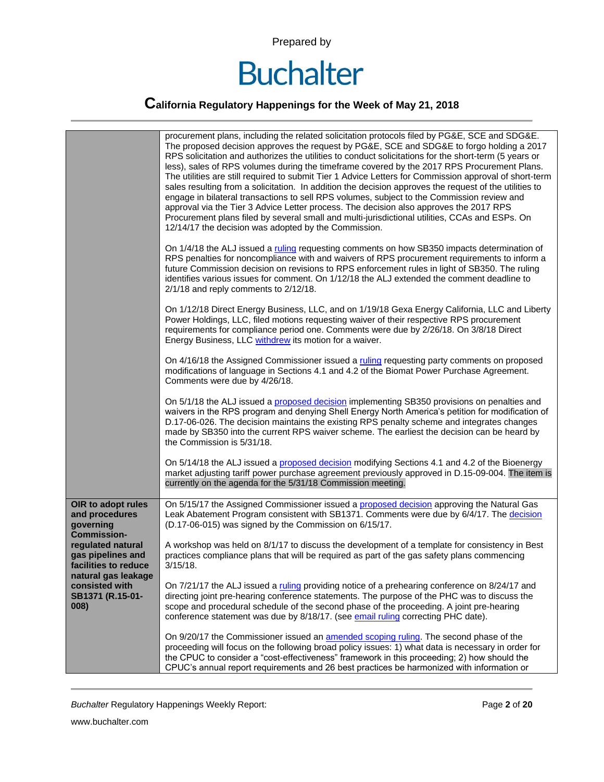

### **California Regulatory Happenings for the Week of May 21, 2018**

|                                                                                       | procurement plans, including the related solicitation protocols filed by PG&E, SCE and SDG&E.<br>The proposed decision approves the request by PG&E, SCE and SDG&E to forgo holding a 2017<br>RPS solicitation and authorizes the utilities to conduct solicitations for the short-term (5 years or<br>less), sales of RPS volumes during the timeframe covered by the 2017 RPS Procurement Plans.<br>The utilities are still required to submit Tier 1 Advice Letters for Commission approval of short-term<br>sales resulting from a solicitation. In addition the decision approves the request of the utilities to<br>engage in bilateral transactions to sell RPS volumes, subject to the Commission review and<br>approval via the Tier 3 Advice Letter process. The decision also approves the 2017 RPS<br>Procurement plans filed by several small and multi-jurisdictional utilities, CCAs and ESPs. On<br>12/14/17 the decision was adopted by the Commission. |
|---------------------------------------------------------------------------------------|--------------------------------------------------------------------------------------------------------------------------------------------------------------------------------------------------------------------------------------------------------------------------------------------------------------------------------------------------------------------------------------------------------------------------------------------------------------------------------------------------------------------------------------------------------------------------------------------------------------------------------------------------------------------------------------------------------------------------------------------------------------------------------------------------------------------------------------------------------------------------------------------------------------------------------------------------------------------------|
|                                                                                       | On 1/4/18 the ALJ issued a ruling requesting comments on how SB350 impacts determination of<br>RPS penalties for noncompliance with and waivers of RPS procurement requirements to inform a<br>future Commission decision on revisions to RPS enforcement rules in light of SB350. The ruling<br>identifies various issues for comment. On 1/12/18 the ALJ extended the comment deadline to<br>2/1/18 and reply comments to 2/12/18.                                                                                                                                                                                                                                                                                                                                                                                                                                                                                                                                     |
|                                                                                       | On 1/12/18 Direct Energy Business, LLC, and on 1/19/18 Gexa Energy California, LLC and Liberty<br>Power Holdings, LLC, filed motions requesting waiver of their respective RPS procurement<br>requirements for compliance period one. Comments were due by 2/26/18. On 3/8/18 Direct<br>Energy Business, LLC withdrew its motion for a waiver.                                                                                                                                                                                                                                                                                                                                                                                                                                                                                                                                                                                                                           |
|                                                                                       | On 4/16/18 the Assigned Commissioner issued a ruling requesting party comments on proposed<br>modifications of language in Sections 4.1 and 4.2 of the Biomat Power Purchase Agreement.<br>Comments were due by 4/26/18.                                                                                                                                                                                                                                                                                                                                                                                                                                                                                                                                                                                                                                                                                                                                                 |
|                                                                                       | On 5/1/18 the ALJ issued a proposed decision implementing SB350 provisions on penalties and<br>waivers in the RPS program and denying Shell Energy North America's petition for modification of<br>D.17-06-026. The decision maintains the existing RPS penalty scheme and integrates changes<br>made by SB350 into the current RPS waiver scheme. The earliest the decision can be heard by<br>the Commission is 5/31/18.                                                                                                                                                                                                                                                                                                                                                                                                                                                                                                                                               |
|                                                                                       | On 5/14/18 the ALJ issued a proposed decision modifying Sections 4.1 and 4.2 of the Bioenergy<br>market adjusting tariff power purchase agreement previously approved in D.15-09-004. The item is<br>currently on the agenda for the 5/31/18 Commission meeting.                                                                                                                                                                                                                                                                                                                                                                                                                                                                                                                                                                                                                                                                                                         |
| OIR to adopt rules<br>and procedures<br>governing<br><b>Commission-</b>               | On 5/15/17 the Assigned Commissioner issued a proposed decision approving the Natural Gas<br>Leak Abatement Program consistent with SB1371. Comments were due by 6/4/17. The decision<br>(D.17-06-015) was signed by the Commission on 6/15/17.                                                                                                                                                                                                                                                                                                                                                                                                                                                                                                                                                                                                                                                                                                                          |
| regulated natural<br>gas pipelines and<br>facilities to reduce<br>natural gas leakage | A workshop was held on 8/1/17 to discuss the development of a template for consistency in Best<br>practices compliance plans that will be required as part of the gas safety plans commencing<br>$3/15/18$ .                                                                                                                                                                                                                                                                                                                                                                                                                                                                                                                                                                                                                                                                                                                                                             |
| consisted with<br>SB1371 (R.15-01-<br>008)                                            | On 7/21/17 the ALJ issued a ruling providing notice of a prehearing conference on 8/24/17 and<br>directing joint pre-hearing conference statements. The purpose of the PHC was to discuss the<br>scope and procedural schedule of the second phase of the proceeding. A joint pre-hearing<br>conference statement was due by 8/18/17. (see email ruling correcting PHC date).                                                                                                                                                                                                                                                                                                                                                                                                                                                                                                                                                                                            |
|                                                                                       | On 9/20/17 the Commissioner issued an amended scoping ruling. The second phase of the<br>proceeding will focus on the following broad policy issues: 1) what data is necessary in order for<br>the CPUC to consider a "cost-effectiveness" framework in this proceeding; 2) how should the<br>CPUC's annual report requirements and 26 best practices be harmonized with information or                                                                                                                                                                                                                                                                                                                                                                                                                                                                                                                                                                                  |

**Buchalter Regulatory Happenings Weekly Report:** Page 2 of 20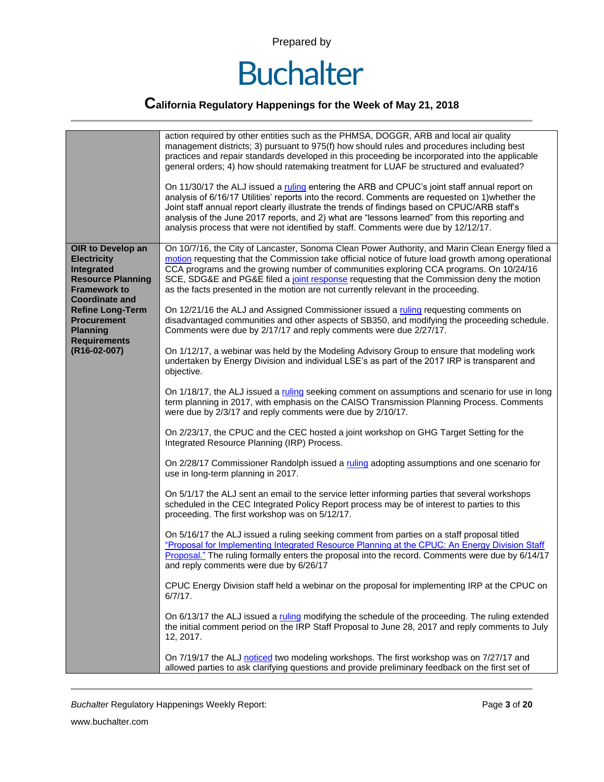

#### **California Regulatory Happenings for the Week of May 21, 2018**

|                                                                                                              | action required by other entities such as the PHMSA, DOGGR, ARB and local air quality<br>management districts; 3) pursuant to 975(f) how should rules and procedures including best<br>practices and repair standards developed in this proceeding be incorporated into the applicable<br>general orders; 4) how should ratemaking treatment for LUAF be structured and evaluated?<br>On 11/30/17 the ALJ issued a ruling entering the ARB and CPUC's joint staff annual report on<br>analysis of 6/16/17 Utilities' reports into the record. Comments are requested on 1) whether the<br>Joint staff annual report clearly illustrate the trends of findings based on CPUC/ARB staff's<br>analysis of the June 2017 reports, and 2) what are "lessons learned" from this reporting and<br>analysis process that were not identified by staff. Comments were due by 12/12/17. |
|--------------------------------------------------------------------------------------------------------------|-------------------------------------------------------------------------------------------------------------------------------------------------------------------------------------------------------------------------------------------------------------------------------------------------------------------------------------------------------------------------------------------------------------------------------------------------------------------------------------------------------------------------------------------------------------------------------------------------------------------------------------------------------------------------------------------------------------------------------------------------------------------------------------------------------------------------------------------------------------------------------|
| OIR to Develop an                                                                                            | On 10/7/16, the City of Lancaster, Sonoma Clean Power Authority, and Marin Clean Energy filed a                                                                                                                                                                                                                                                                                                                                                                                                                                                                                                                                                                                                                                                                                                                                                                               |
| <b>Electricity</b><br>Integrated<br><b>Resource Planning</b><br><b>Framework to</b><br><b>Coordinate and</b> | motion requesting that the Commission take official notice of future load growth among operational<br>CCA programs and the growing number of communities exploring CCA programs. On 10/24/16<br>SCE, SDG&E and PG&E filed a joint response requesting that the Commission deny the motion<br>as the facts presented in the motion are not currently relevant in the proceeding.                                                                                                                                                                                                                                                                                                                                                                                                                                                                                               |
| <b>Refine Long-Term</b><br><b>Procurement</b><br><b>Planning</b><br><b>Requirements</b>                      | On 12/21/16 the ALJ and Assigned Commissioner issued a ruling requesting comments on<br>disadvantaged communities and other aspects of SB350, and modifying the proceeding schedule.<br>Comments were due by 2/17/17 and reply comments were due 2/27/17.                                                                                                                                                                                                                                                                                                                                                                                                                                                                                                                                                                                                                     |
| (R16-02-007)                                                                                                 | On 1/12/17, a webinar was held by the Modeling Advisory Group to ensure that modeling work<br>undertaken by Energy Division and individual LSE's as part of the 2017 IRP is transparent and<br>objective.                                                                                                                                                                                                                                                                                                                                                                                                                                                                                                                                                                                                                                                                     |
|                                                                                                              | On 1/18/17, the ALJ issued a ruling seeking comment on assumptions and scenario for use in long<br>term planning in 2017, with emphasis on the CAISO Transmission Planning Process. Comments<br>were due by 2/3/17 and reply comments were due by 2/10/17.                                                                                                                                                                                                                                                                                                                                                                                                                                                                                                                                                                                                                    |
|                                                                                                              | On 2/23/17, the CPUC and the CEC hosted a joint workshop on GHG Target Setting for the<br>Integrated Resource Planning (IRP) Process.                                                                                                                                                                                                                                                                                                                                                                                                                                                                                                                                                                                                                                                                                                                                         |
|                                                                                                              | On 2/28/17 Commissioner Randolph issued a ruling adopting assumptions and one scenario for<br>use in long-term planning in 2017.                                                                                                                                                                                                                                                                                                                                                                                                                                                                                                                                                                                                                                                                                                                                              |
|                                                                                                              | On 5/1/17 the ALJ sent an email to the service letter informing parties that several workshops<br>scheduled in the CEC Integrated Policy Report process may be of interest to parties to this<br>proceeding. The first workshop was on 5/12/17.                                                                                                                                                                                                                                                                                                                                                                                                                                                                                                                                                                                                                               |
|                                                                                                              | On 5/16/17 the ALJ issued a ruling seeking comment from parties on a staff proposal titled<br>"Proposal for Implementing Integrated Resource Planning at the CPUC: An Energy Division Staff<br>Proposal." The ruling formally enters the proposal into the record. Comments were due by 6/14/17<br>and reply comments were due by 6/26/17                                                                                                                                                                                                                                                                                                                                                                                                                                                                                                                                     |
|                                                                                                              | CPUC Energy Division staff held a webinar on the proposal for implementing IRP at the CPUC on<br>$6/7/17$ .                                                                                                                                                                                                                                                                                                                                                                                                                                                                                                                                                                                                                                                                                                                                                                   |
|                                                                                                              | On 6/13/17 the ALJ issued a ruling modifying the schedule of the proceeding. The ruling extended<br>the initial comment period on the IRP Staff Proposal to June 28, 2017 and reply comments to July<br>12, 2017.                                                                                                                                                                                                                                                                                                                                                                                                                                                                                                                                                                                                                                                             |
|                                                                                                              | On 7/19/17 the ALJ noticed two modeling workshops. The first workshop was on 7/27/17 and<br>allowed parties to ask clarifying questions and provide preliminary feedback on the first set of                                                                                                                                                                                                                                                                                                                                                                                                                                                                                                                                                                                                                                                                                  |

**Buchalter Regulatory Happenings Weekly Report:** Page 3 of 20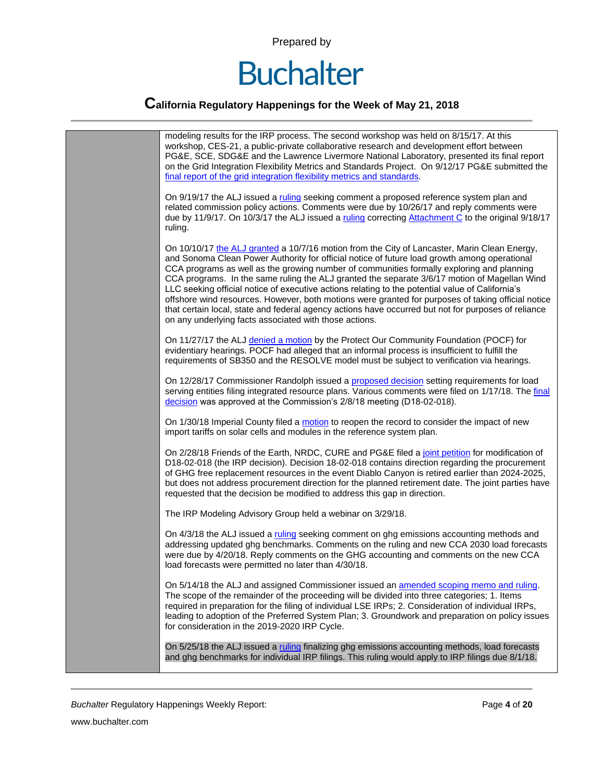

#### **California Regulatory Happenings for the Week of May 21, 2018**



*Buchalter* Regulatory Happenings Weekly Report: Page **4** of **20**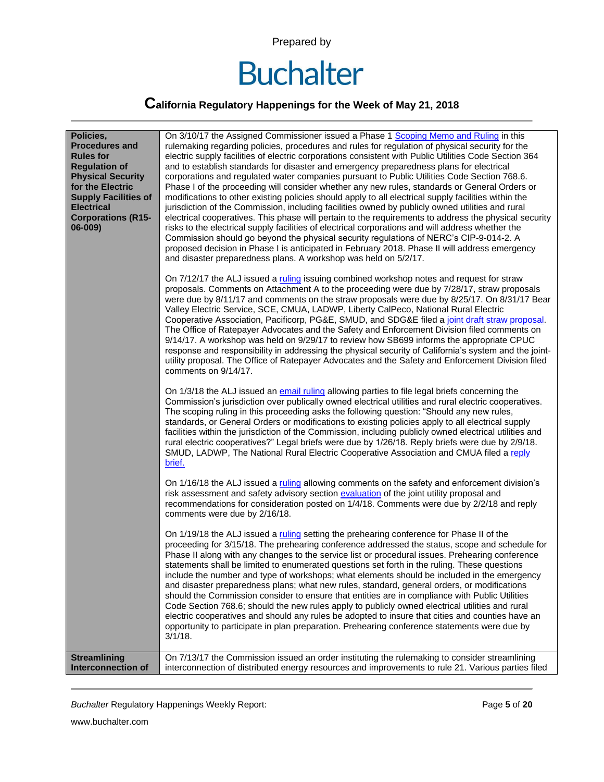

### **California Regulatory Happenings for the Week of May 21, 2018**

| Policies,<br><b>Procedures and</b><br><b>Rules for</b><br><b>Regulation of</b><br><b>Physical Security</b><br>for the Electric<br><b>Supply Facilities of</b><br><b>Electrical</b><br><b>Corporations (R15-</b><br>06-009) | On 3/10/17 the Assigned Commissioner issued a Phase 1 Scoping Memo and Ruling in this<br>rulemaking regarding policies, procedures and rules for regulation of physical security for the<br>electric supply facilities of electric corporations consistent with Public Utilities Code Section 364<br>and to establish standards for disaster and emergency preparedness plans for electrical<br>corporations and regulated water companies pursuant to Public Utilities Code Section 768.6.<br>Phase I of the proceeding will consider whether any new rules, standards or General Orders or<br>modifications to other existing policies should apply to all electrical supply facilities within the<br>jurisdiction of the Commission, including facilities owned by publicly owned utilities and rural<br>electrical cooperatives. This phase will pertain to the requirements to address the physical security<br>risks to the electrical supply facilities of electrical corporations and will address whether the<br>Commission should go beyond the physical security regulations of NERC's CIP-9-014-2. A<br>proposed decision in Phase I is anticipated in February 2018. Phase II will address emergency<br>and disaster preparedness plans. A workshop was held on 5/2/17.<br>On 7/12/17 the ALJ issued a ruling issuing combined workshop notes and request for straw<br>proposals. Comments on Attachment A to the proceeding were due by 7/28/17, straw proposals<br>were due by 8/11/17 and comments on the straw proposals were due by 8/25/17. On 8/31/17 Bear<br>Valley Electric Service, SCE, CMUA, LADWP, Liberty CalPeco, National Rural Electric<br>Cooperative Association, Pacificorp, PG&E, SMUD, and SDG&E filed a joint draft straw proposal.<br>The Office of Ratepayer Advocates and the Safety and Enforcement Division filed comments on<br>9/14/17. A workshop was held on 9/29/17 to review how SB699 informs the appropriate CPUC<br>response and responsibility in addressing the physical security of California's system and the joint-<br>utility proposal. The Office of Ratepayer Advocates and the Safety and Enforcement Division filed<br>comments on 9/14/17.<br>On 1/3/18 the ALJ issued an email ruling allowing parties to file legal briefs concerning the<br>Commission's jurisdiction over publically owned electrical utilities and rural electric cooperatives.<br>The scoping ruling in this proceeding asks the following question: "Should any new rules,<br>standards, or General Orders or modifications to existing policies apply to all electrical supply<br>facilities within the jurisdiction of the Commission, including publicly owned electrical utilities and<br>rural electric cooperatives?" Legal briefs were due by 1/26/18. Reply briefs were due by 2/9/18.<br>SMUD, LADWP, The National Rural Electric Cooperative Association and CMUA filed a reply<br>brief. |
|----------------------------------------------------------------------------------------------------------------------------------------------------------------------------------------------------------------------------|------------------------------------------------------------------------------------------------------------------------------------------------------------------------------------------------------------------------------------------------------------------------------------------------------------------------------------------------------------------------------------------------------------------------------------------------------------------------------------------------------------------------------------------------------------------------------------------------------------------------------------------------------------------------------------------------------------------------------------------------------------------------------------------------------------------------------------------------------------------------------------------------------------------------------------------------------------------------------------------------------------------------------------------------------------------------------------------------------------------------------------------------------------------------------------------------------------------------------------------------------------------------------------------------------------------------------------------------------------------------------------------------------------------------------------------------------------------------------------------------------------------------------------------------------------------------------------------------------------------------------------------------------------------------------------------------------------------------------------------------------------------------------------------------------------------------------------------------------------------------------------------------------------------------------------------------------------------------------------------------------------------------------------------------------------------------------------------------------------------------------------------------------------------------------------------------------------------------------------------------------------------------------------------------------------------------------------------------------------------------------------------------------------------------------------------------------------------------------------------------------------------------------------------------------------------------------------------------------------------------------------------------------------------------------------------------------------------------------------------------------------------------------------------------------------------------------------------------------------------------------------------------------------------------------------------|
|                                                                                                                                                                                                                            | On 1/16/18 the ALJ issued a ruling allowing comments on the safety and enforcement division's<br>risk assessment and safety advisory section evaluation of the joint utility proposal and<br>recommendations for consideration posted on 1/4/18. Comments were due by 2/2/18 and reply<br>comments were due by 2/16/18.<br>On 1/19/18 the ALJ issued a ruling setting the prehearing conference for Phase II of the<br>proceeding for 3/15/18. The prehearing conference addressed the status, scope and schedule for<br>Phase II along with any changes to the service list or procedural issues. Prehearing conference<br>statements shall be limited to enumerated questions set forth in the ruling. These questions<br>include the number and type of workshops; what elements should be included in the emergency<br>and disaster preparedness plans; what new rules, standard, general orders, or modifications<br>should the Commission consider to ensure that entities are in compliance with Public Utilities<br>Code Section 768.6; should the new rules apply to publicly owned electrical utilities and rural<br>electric cooperatives and should any rules be adopted to insure that cities and counties have an<br>opportunity to participate in plan preparation. Prehearing conference statements were due by<br>$3/1/18$ .                                                                                                                                                                                                                                                                                                                                                                                                                                                                                                                                                                                                                                                                                                                                                                                                                                                                                                                                                                                                                                                                                                                                                                                                                                                                                                                                                                                                                                                                                                                                                                                            |
| <b>Streamlining</b><br>Interconnection of                                                                                                                                                                                  | On 7/13/17 the Commission issued an order instituting the rulemaking to consider streamlining<br>interconnection of distributed energy resources and improvements to rule 21. Various parties filed                                                                                                                                                                                                                                                                                                                                                                                                                                                                                                                                                                                                                                                                                                                                                                                                                                                                                                                                                                                                                                                                                                                                                                                                                                                                                                                                                                                                                                                                                                                                                                                                                                                                                                                                                                                                                                                                                                                                                                                                                                                                                                                                                                                                                                                                                                                                                                                                                                                                                                                                                                                                                                                                                                                                      |

**Buchalter Regulatory Happenings Weekly Report:** Page 5 of 20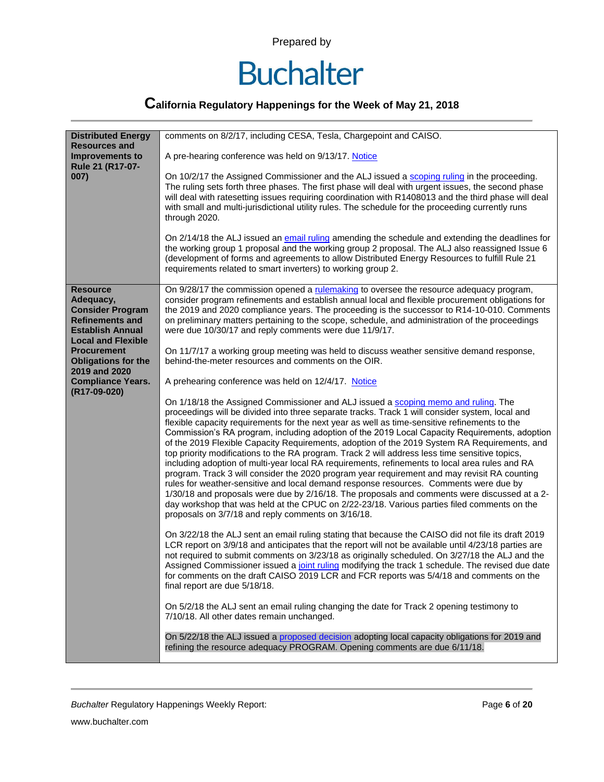

| <b>Distributed Energy</b><br><b>Resources and</b>                                                                                         | comments on 8/2/17, including CESA, Tesla, Chargepoint and CAISO.                                                                                                                                                                                                                                                                                                                                                                                                                                                                                                                                                                                                                                                                                                                                                                                                                                                                                                                                                                                                                                                                         |
|-------------------------------------------------------------------------------------------------------------------------------------------|-------------------------------------------------------------------------------------------------------------------------------------------------------------------------------------------------------------------------------------------------------------------------------------------------------------------------------------------------------------------------------------------------------------------------------------------------------------------------------------------------------------------------------------------------------------------------------------------------------------------------------------------------------------------------------------------------------------------------------------------------------------------------------------------------------------------------------------------------------------------------------------------------------------------------------------------------------------------------------------------------------------------------------------------------------------------------------------------------------------------------------------------|
| <b>Improvements to</b><br>Rule 21 (R17-07-                                                                                                | A pre-hearing conference was held on 9/13/17. Notice                                                                                                                                                                                                                                                                                                                                                                                                                                                                                                                                                                                                                                                                                                                                                                                                                                                                                                                                                                                                                                                                                      |
| 007)                                                                                                                                      | On 10/2/17 the Assigned Commissioner and the ALJ issued a scoping ruling in the proceeding.<br>The ruling sets forth three phases. The first phase will deal with urgent issues, the second phase<br>will deal with ratesetting issues requiring coordination with R1408013 and the third phase will deal<br>with small and multi-jurisdictional utility rules. The schedule for the proceeding currently runs<br>through 2020.                                                                                                                                                                                                                                                                                                                                                                                                                                                                                                                                                                                                                                                                                                           |
|                                                                                                                                           | On 2/14/18 the ALJ issued an email ruling amending the schedule and extending the deadlines for<br>the working group 1 proposal and the working group 2 proposal. The ALJ also reassigned Issue 6<br>(development of forms and agreements to allow Distributed Energy Resources to fulfill Rule 21<br>requirements related to smart inverters) to working group 2.                                                                                                                                                                                                                                                                                                                                                                                                                                                                                                                                                                                                                                                                                                                                                                        |
| <b>Resource</b><br>Adequacy,<br><b>Consider Program</b><br><b>Refinements and</b><br><b>Establish Annual</b><br><b>Local and Flexible</b> | On 9/28/17 the commission opened a rulemaking to oversee the resource adequacy program,<br>consider program refinements and establish annual local and flexible procurement obligations for<br>the 2019 and 2020 compliance years. The proceeding is the successor to R14-10-010. Comments<br>on preliminary matters pertaining to the scope, schedule, and administration of the proceedings<br>were due 10/30/17 and reply comments were due 11/9/17.                                                                                                                                                                                                                                                                                                                                                                                                                                                                                                                                                                                                                                                                                   |
| <b>Procurement</b><br><b>Obligations for the</b><br>2019 and 2020                                                                         | On 11/7/17 a working group meeting was held to discuss weather sensitive demand response,<br>behind-the-meter resources and comments on the OIR.                                                                                                                                                                                                                                                                                                                                                                                                                                                                                                                                                                                                                                                                                                                                                                                                                                                                                                                                                                                          |
| <b>Compliance Years.</b><br>(R17-09-020)                                                                                                  | A prehearing conference was held on 12/4/17. Notice                                                                                                                                                                                                                                                                                                                                                                                                                                                                                                                                                                                                                                                                                                                                                                                                                                                                                                                                                                                                                                                                                       |
|                                                                                                                                           | On 1/18/18 the Assigned Commissioner and ALJ issued a scoping memo and ruling. The<br>proceedings will be divided into three separate tracks. Track 1 will consider system, local and<br>flexible capacity requirements for the next year as well as time-sensitive refinements to the<br>Commission's RA program, including adoption of the 2019 Local Capacity Requirements, adoption<br>of the 2019 Flexible Capacity Requirements, adoption of the 2019 System RA Requirements, and<br>top priority modifications to the RA program. Track 2 will address less time sensitive topics,<br>including adoption of multi-year local RA requirements, refinements to local area rules and RA<br>program. Track 3 will consider the 2020 program year requirement and may revisit RA counting<br>rules for weather-sensitive and local demand response resources. Comments were due by<br>1/30/18 and proposals were due by 2/16/18. The proposals and comments were discussed at a 2-<br>day workshop that was held at the CPUC on 2/22-23/18. Various parties filed comments on the<br>proposals on 3/7/18 and reply comments on 3/16/18. |
|                                                                                                                                           | On 3/22/18 the ALJ sent an email ruling stating that because the CAISO did not file its draft 2019<br>LCR report on 3/9/18 and anticipates that the report will not be available until 4/23/18 parties are<br>not required to submit comments on 3/23/18 as originally scheduled. On 3/27/18 the ALJ and the<br>Assigned Commissioner issued a joint ruling modifying the track 1 schedule. The revised due date<br>for comments on the draft CAISO 2019 LCR and FCR reports was 5/4/18 and comments on the<br>final report are due 5/18/18.                                                                                                                                                                                                                                                                                                                                                                                                                                                                                                                                                                                              |
|                                                                                                                                           | On 5/2/18 the ALJ sent an email ruling changing the date for Track 2 opening testimony to<br>7/10/18. All other dates remain unchanged.                                                                                                                                                                                                                                                                                                                                                                                                                                                                                                                                                                                                                                                                                                                                                                                                                                                                                                                                                                                                   |
|                                                                                                                                           | On 5/22/18 the ALJ issued a proposed decision adopting local capacity obligations for 2019 and<br>refining the resource adequacy PROGRAM. Opening comments are due 6/11/18.                                                                                                                                                                                                                                                                                                                                                                                                                                                                                                                                                                                                                                                                                                                                                                                                                                                                                                                                                               |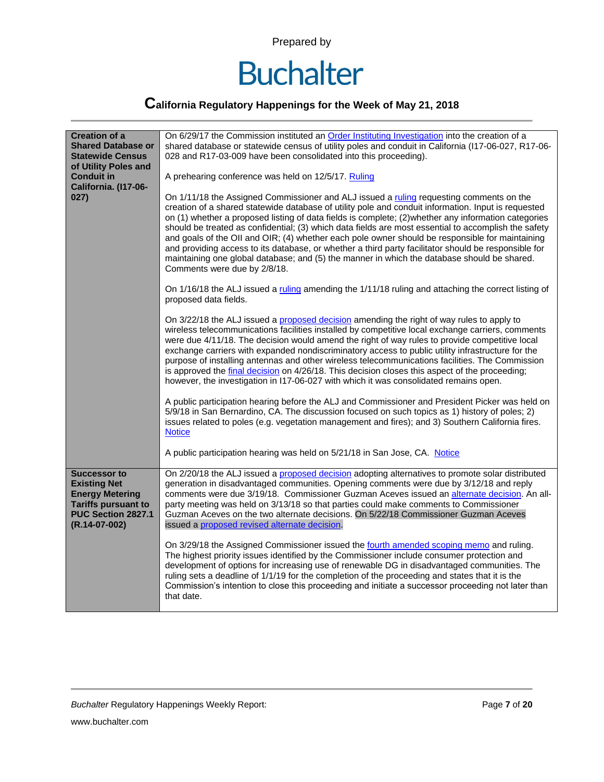

| <b>Creation of a</b>                                                                                                                             | On 6/29/17 the Commission instituted an Order Instituting Investigation into the creation of a                                                                                                                                                                                                                                                                                                                                                                                                                                                                                                                                                                                                                                                           |
|--------------------------------------------------------------------------------------------------------------------------------------------------|----------------------------------------------------------------------------------------------------------------------------------------------------------------------------------------------------------------------------------------------------------------------------------------------------------------------------------------------------------------------------------------------------------------------------------------------------------------------------------------------------------------------------------------------------------------------------------------------------------------------------------------------------------------------------------------------------------------------------------------------------------|
| <b>Shared Database or</b>                                                                                                                        | shared database or statewide census of utility poles and conduit in California (I17-06-027, R17-06-                                                                                                                                                                                                                                                                                                                                                                                                                                                                                                                                                                                                                                                      |
| <b>Statewide Census</b>                                                                                                                          | 028 and R17-03-009 have been consolidated into this proceeding).                                                                                                                                                                                                                                                                                                                                                                                                                                                                                                                                                                                                                                                                                         |
| of Utility Poles and<br><b>Conduit in</b><br>California. (I17-06-                                                                                | A prehearing conference was held on 12/5/17. Ruling                                                                                                                                                                                                                                                                                                                                                                                                                                                                                                                                                                                                                                                                                                      |
| 027)                                                                                                                                             | On 1/11/18 the Assigned Commissioner and ALJ issued a ruling requesting comments on the<br>creation of a shared statewide database of utility pole and conduit information. Input is requested<br>on (1) whether a proposed listing of data fields is complete; (2) whether any information categories<br>should be treated as confidential; (3) which data fields are most essential to accomplish the safety<br>and goals of the OII and OIR; (4) whether each pole owner should be responsible for maintaining<br>and providing access to its database, or whether a third party facilitator should be responsible for<br>maintaining one global database; and (5) the manner in which the database should be shared.<br>Comments were due by 2/8/18. |
|                                                                                                                                                  | On 1/16/18 the ALJ issued a ruling amending the 1/11/18 ruling and attaching the correct listing of<br>proposed data fields.                                                                                                                                                                                                                                                                                                                                                                                                                                                                                                                                                                                                                             |
|                                                                                                                                                  | On 3/22/18 the ALJ issued a proposed decision amending the right of way rules to apply to<br>wireless telecommunications facilities installed by competitive local exchange carriers, comments<br>were due 4/11/18. The decision would amend the right of way rules to provide competitive local<br>exchange carriers with expanded nondiscriminatory access to public utility infrastructure for the<br>purpose of installing antennas and other wireless telecommunications facilities. The Commission<br>is approved the final decision on 4/26/18. This decision closes this aspect of the proceeding;<br>however, the investigation in I17-06-027 with which it was consolidated remains open.                                                      |
|                                                                                                                                                  | A public participation hearing before the ALJ and Commissioner and President Picker was held on<br>5/9/18 in San Bernardino, CA. The discussion focused on such topics as 1) history of poles; 2)<br>issues related to poles (e.g. vegetation management and fires); and 3) Southern California fires.<br><b>Notice</b>                                                                                                                                                                                                                                                                                                                                                                                                                                  |
|                                                                                                                                                  | A public participation hearing was held on 5/21/18 in San Jose, CA. Notice                                                                                                                                                                                                                                                                                                                                                                                                                                                                                                                                                                                                                                                                               |
| <b>Successor to</b><br><b>Existing Net</b><br><b>Energy Metering</b><br><b>Tariffs pursuant to</b><br><b>PUC Section 2827.1</b><br>(R.14-07-002) | On 2/20/18 the ALJ issued a proposed decision adopting alternatives to promote solar distributed<br>generation in disadvantaged communities. Opening comments were due by 3/12/18 and reply<br>comments were due 3/19/18. Commissioner Guzman Aceves issued an alternate decision. An all-<br>party meeting was held on 3/13/18 so that parties could make comments to Commissioner<br>Guzman Aceves on the two alternate decisions. On 5/22/18 Commissioner Guzman Aceves<br>issued a proposed revised alternate decision.                                                                                                                                                                                                                              |
|                                                                                                                                                  | On 3/29/18 the Assigned Commissioner issued the fourth amended scoping memo and ruling.<br>The highest priority issues identified by the Commissioner include consumer protection and<br>development of options for increasing use of renewable DG in disadvantaged communities. The<br>ruling sets a deadline of 1/1/19 for the completion of the proceeding and states that it is the<br>Commission's intention to close this proceeding and initiate a successor proceeding not later than<br>that date.                                                                                                                                                                                                                                              |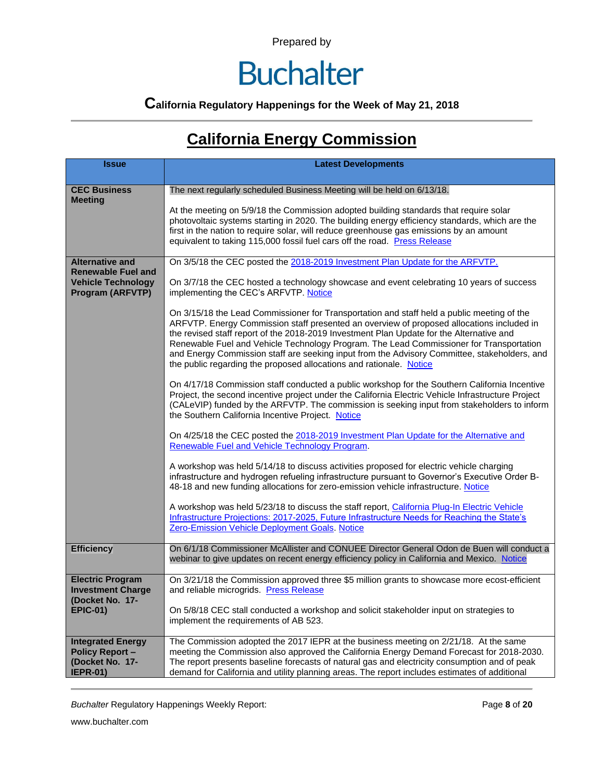### **Buchalter**

### **California Regulatory Happenings for the Week of May 21, 2018**

### **California Energy Commission**

| <b>Issue</b>                                                                             | <b>Latest Developments</b>                                                                                                                                                                                                                                                                                                                                                                                                                                                                                                                            |
|------------------------------------------------------------------------------------------|-------------------------------------------------------------------------------------------------------------------------------------------------------------------------------------------------------------------------------------------------------------------------------------------------------------------------------------------------------------------------------------------------------------------------------------------------------------------------------------------------------------------------------------------------------|
| <b>CEC Business</b><br><b>Meeting</b>                                                    | The next regularly scheduled Business Meeting will be held on 6/13/18.                                                                                                                                                                                                                                                                                                                                                                                                                                                                                |
|                                                                                          | At the meeting on 5/9/18 the Commission adopted building standards that require solar<br>photovoltaic systems starting in 2020. The building energy efficiency standards, which are the<br>first in the nation to require solar, will reduce greenhouse gas emissions by an amount<br>equivalent to taking 115,000 fossil fuel cars off the road. Press Release                                                                                                                                                                                       |
| <b>Alternative and</b><br><b>Renewable Fuel and</b>                                      | On 3/5/18 the CEC posted the 2018-2019 Investment Plan Update for the ARFVTP.                                                                                                                                                                                                                                                                                                                                                                                                                                                                         |
| <b>Vehicle Technology</b><br><b>Program (ARFVTP)</b>                                     | On 3/7/18 the CEC hosted a technology showcase and event celebrating 10 years of success<br>implementing the CEC's ARFVTP. Notice                                                                                                                                                                                                                                                                                                                                                                                                                     |
|                                                                                          | On 3/15/18 the Lead Commissioner for Transportation and staff held a public meeting of the<br>ARFVTP. Energy Commission staff presented an overview of proposed allocations included in<br>the revised staff report of the 2018-2019 Investment Plan Update for the Alternative and<br>Renewable Fuel and Vehicle Technology Program. The Lead Commissioner for Transportation<br>and Energy Commission staff are seeking input from the Advisory Committee, stakeholders, and<br>the public regarding the proposed allocations and rationale. Notice |
|                                                                                          | On 4/17/18 Commission staff conducted a public workshop for the Southern California Incentive<br>Project, the second incentive project under the California Electric Vehicle Infrastructure Project<br>(CALeVIP) funded by the ARFVTP. The commission is seeking input from stakeholders to inform<br>the Southern California Incentive Project. Notice                                                                                                                                                                                               |
|                                                                                          | On 4/25/18 the CEC posted the 2018-2019 Investment Plan Update for the Alternative and<br>Renewable Fuel and Vehicle Technology Program.                                                                                                                                                                                                                                                                                                                                                                                                              |
|                                                                                          | A workshop was held 5/14/18 to discuss activities proposed for electric vehicle charging<br>infrastructure and hydrogen refueling infrastructure pursuant to Governor's Executive Order B-<br>48-18 and new funding allocations for zero-emission vehicle infrastructure. Notice                                                                                                                                                                                                                                                                      |
|                                                                                          | A workshop was held 5/23/18 to discuss the staff report, California Plug-In Electric Vehicle<br>Infrastructure Projections: 2017-2025, Future Infrastructure Needs for Reaching the State's<br>Zero-Emission Vehicle Deployment Goals. Notice                                                                                                                                                                                                                                                                                                         |
| <b>Efficiency</b>                                                                        | On 6/1/18 Commissioner McAllister and CONUEE Director General Odon de Buen will conduct a<br>webinar to give updates on recent energy efficiency policy in California and Mexico. Notice                                                                                                                                                                                                                                                                                                                                                              |
| <b>Electric Program</b><br><b>Investment Charge</b><br>(Docket No. 17-                   | On 3/21/18 the Commission approved three \$5 million grants to showcase more ecost-efficient<br>and reliable microgrids. Press Release                                                                                                                                                                                                                                                                                                                                                                                                                |
| <b>EPIC-01)</b>                                                                          | On 5/8/18 CEC stall conducted a workshop and solicit stakeholder input on strategies to<br>implement the requirements of AB 523.                                                                                                                                                                                                                                                                                                                                                                                                                      |
| <b>Integrated Energy</b><br><b>Policy Report -</b><br>(Docket No. 17-<br><b>IEPR-01)</b> | The Commission adopted the 2017 IEPR at the business meeting on 2/21/18. At the same<br>meeting the Commission also approved the California Energy Demand Forecast for 2018-2030.<br>The report presents baseline forecasts of natural gas and electricity consumption and of peak<br>demand for California and utility planning areas. The report includes estimates of additional                                                                                                                                                                   |

**Buchalter Regulatory Happenings Weekly Report:** Page 8 of 20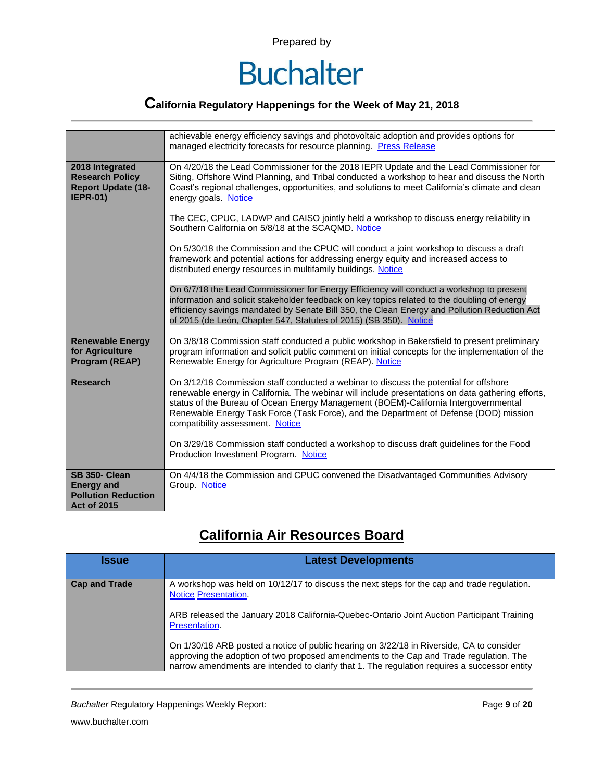

### **California Regulatory Happenings for the Week of May 21, 2018**

|                                                                                               | achievable energy efficiency savings and photovoltaic adoption and provides options for<br>managed electricity forecasts for resource planning. Press Release                                                                                                                                                                                                                                                  |
|-----------------------------------------------------------------------------------------------|----------------------------------------------------------------------------------------------------------------------------------------------------------------------------------------------------------------------------------------------------------------------------------------------------------------------------------------------------------------------------------------------------------------|
| 2018 Integrated<br><b>Research Policy</b><br><b>Report Update (18-</b><br><b>IEPR-01)</b>     | On 4/20/18 the Lead Commissioner for the 2018 IEPR Update and the Lead Commissioner for<br>Siting, Offshore Wind Planning, and Tribal conducted a workshop to hear and discuss the North<br>Coast's regional challenges, opportunities, and solutions to meet California's climate and clean<br>energy goals. Notice                                                                                           |
|                                                                                               | The CEC, CPUC, LADWP and CAISO jointly held a workshop to discuss energy reliability in<br>Southern California on 5/8/18 at the SCAQMD. Notice                                                                                                                                                                                                                                                                 |
|                                                                                               | On 5/30/18 the Commission and the CPUC will conduct a joint workshop to discuss a draft<br>framework and potential actions for addressing energy equity and increased access to<br>distributed energy resources in multifamily buildings. Notice                                                                                                                                                               |
|                                                                                               | On 6/7/18 the Lead Commissioner for Energy Efficiency will conduct a workshop to present<br>information and solicit stakeholder feedback on key topics related to the doubling of energy<br>efficiency savings mandated by Senate Bill 350, the Clean Energy and Pollution Reduction Act<br>of 2015 (de León, Chapter 547, Statutes of 2015) (SB 350). Notice                                                  |
| <b>Renewable Energy</b><br>for Agriculture<br>Program (REAP)                                  | On 3/8/18 Commission staff conducted a public workshop in Bakersfield to present preliminary<br>program information and solicit public comment on initial concepts for the implementation of the<br>Renewable Energy for Agriculture Program (REAP). Notice                                                                                                                                                    |
| <b>Research</b>                                                                               | On 3/12/18 Commission staff conducted a webinar to discuss the potential for offshore<br>renewable energy in California. The webinar will include presentations on data gathering efforts,<br>status of the Bureau of Ocean Energy Management (BOEM)-California Intergovernmental<br>Renewable Energy Task Force (Task Force), and the Department of Defense (DOD) mission<br>compatibility assessment. Notice |
|                                                                                               | On 3/29/18 Commission staff conducted a workshop to discuss draft guidelines for the Food<br>Production Investment Program. Notice                                                                                                                                                                                                                                                                             |
| <b>SB 350- Clean</b><br><b>Energy and</b><br><b>Pollution Reduction</b><br><b>Act of 2015</b> | On 4/4/18 the Commission and CPUC convened the Disadvantaged Communities Advisory<br>Group. Notice                                                                                                                                                                                                                                                                                                             |

### **California Air Resources Board**

| <b>Issue</b>         | <b>Latest Developments</b>                                                                                                                                                                                                                                                         |
|----------------------|------------------------------------------------------------------------------------------------------------------------------------------------------------------------------------------------------------------------------------------------------------------------------------|
| <b>Cap and Trade</b> | A workshop was held on 10/12/17 to discuss the next steps for the cap and trade regulation.<br><b>Notice Presentation.</b>                                                                                                                                                         |
|                      | ARB released the January 2018 California-Quebec-Ontario Joint Auction Participant Training<br>Presentation.                                                                                                                                                                        |
|                      | On 1/30/18 ARB posted a notice of public hearing on 3/22/18 in Riverside, CA to consider<br>approving the adoption of two proposed amendments to the Cap and Trade regulation. The<br>narrow amendments are intended to clarify that 1. The regulation requires a successor entity |

**Buchalter Regulatory Happenings Weekly Report:** Page 9 of 20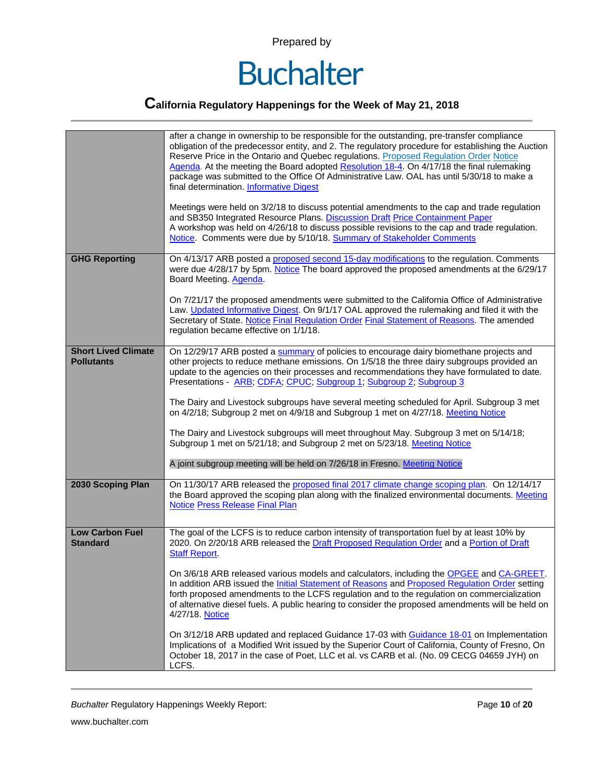

### **California Regulatory Happenings for the Week of May 21, 2018**

|                                                 | after a change in ownership to be responsible for the outstanding, pre-transfer compliance<br>obligation of the predecessor entity, and 2. The regulatory procedure for establishing the Auction<br>Reserve Price in the Ontario and Quebec regulations. Proposed Regulation Order Notice<br>Agenda. At the meeting the Board adopted Resolution 18-4. On 4/17/18 the final rulemaking<br>package was submitted to the Office Of Administrative Law. OAL has until 5/30/18 to make a<br>final determination. Informative Digest<br>Meetings were held on 3/2/18 to discuss potential amendments to the cap and trade regulation<br>and SB350 Integrated Resource Plans. Discussion Draft Price Containment Paper<br>A workshop was held on 4/26/18 to discuss possible revisions to the cap and trade regulation.<br>Notice. Comments were due by 5/10/18. Summary of Stakeholder Comments                                                  |
|-------------------------------------------------|---------------------------------------------------------------------------------------------------------------------------------------------------------------------------------------------------------------------------------------------------------------------------------------------------------------------------------------------------------------------------------------------------------------------------------------------------------------------------------------------------------------------------------------------------------------------------------------------------------------------------------------------------------------------------------------------------------------------------------------------------------------------------------------------------------------------------------------------------------------------------------------------------------------------------------------------|
| <b>GHG Reporting</b>                            | On 4/13/17 ARB posted a proposed second 15-day modifications to the regulation. Comments<br>were due 4/28/17 by 5pm. Notice The board approved the proposed amendments at the 6/29/17<br>Board Meeting. Agenda.<br>On 7/21/17 the proposed amendments were submitted to the California Office of Administrative<br>Law. Updated Informative Digest. On 9/1/17 OAL approved the rulemaking and filed it with the<br>Secretary of State. Notice Final Regulation Order Final Statement of Reasons. The amended<br>regulation became effective on 1/1/18.                                                                                                                                                                                                                                                                                                                                                                                      |
| <b>Short Lived Climate</b><br><b>Pollutants</b> | On 12/29/17 ARB posted a summary of policies to encourage dairy biomethane projects and<br>other projects to reduce methane emissions. On 1/5/18 the three dairy subgroups provided an<br>update to the agencies on their processes and recommendations they have formulated to date.<br>Presentations - ARB; CDFA; CPUC; Subgroup 1; Subgroup 2; Subgroup 3<br>The Dairy and Livestock subgroups have several meeting scheduled for April. Subgroup 3 met<br>on 4/2/18; Subgroup 2 met on 4/9/18 and Subgroup 1 met on 4/27/18. Meeting Notice<br>The Dairy and Livestock subgroups will meet throughout May. Subgroup 3 met on 5/14/18;<br>Subgroup 1 met on 5/21/18; and Subgroup 2 met on 5/23/18. Meeting Notice<br>A joint subgroup meeting will be held on 7/26/18 in Fresno. Meeting Notice                                                                                                                                         |
| 2030 Scoping Plan                               | On 11/30/17 ARB released the proposed final 2017 climate change scoping plan. On 12/14/17<br>the Board approved the scoping plan along with the finalized environmental documents. Meeting<br><b>Notice Press Release Final Plan</b>                                                                                                                                                                                                                                                                                                                                                                                                                                                                                                                                                                                                                                                                                                        |
| <b>Low Carbon Fuel</b><br><b>Standard</b>       | The goal of the LCFS is to reduce carbon intensity of transportation fuel by at least 10% by<br>2020. On 2/20/18 ARB released the Draft Proposed Regulation Order and a Portion of Draft<br><b>Staff Report.</b><br>On 3/6/18 ARB released various models and calculators, including the OPGEE and CA-GREET.<br>In addition ARB issued the Initial Statement of Reasons and Proposed Regulation Order setting<br>forth proposed amendments to the LCFS regulation and to the regulation on commercialization<br>of alternative diesel fuels. A public hearing to consider the proposed amendments will be held on<br>4/27/18. Notice<br>On 3/12/18 ARB updated and replaced Guidance 17-03 with Guidance 18-01 on Implementation<br>Implications of a Modified Writ issued by the Superior Court of California, County of Fresno, On<br>October 18, 2017 in the case of Poet, LLC et al. vs CARB et al. (No. 09 CECG 04659 JYH) on<br>LCFS. |

*Buchalter* Regulatory Happenings Weekly Report: Page **10** of **20**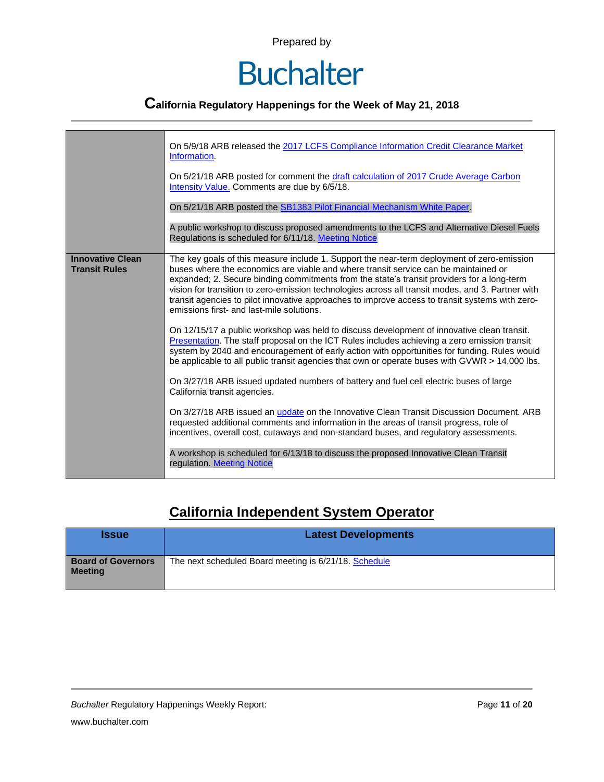### **Buchalter**

### **California Regulatory Happenings for the Week of May 21, 2018**

|                                                 | On 5/9/18 ARB released the 2017 LCFS Compliance Information Credit Clearance Market<br>Information.<br>On 5/21/18 ARB posted for comment the draft calculation of 2017 Crude Average Carbon<br>Intensity Value. Comments are due by 6/5/18.                                                                                                                                                                                                                                                                                          |
|-------------------------------------------------|--------------------------------------------------------------------------------------------------------------------------------------------------------------------------------------------------------------------------------------------------------------------------------------------------------------------------------------------------------------------------------------------------------------------------------------------------------------------------------------------------------------------------------------|
|                                                 | On 5/21/18 ARB posted the SB1383 Pilot Financial Mechanism White Paper.                                                                                                                                                                                                                                                                                                                                                                                                                                                              |
|                                                 | A public workshop to discuss proposed amendments to the LCFS and Alternative Diesel Fuels<br>Regulations is scheduled for 6/11/18. Meeting Notice                                                                                                                                                                                                                                                                                                                                                                                    |
| <b>Innovative Clean</b><br><b>Transit Rules</b> | The key goals of this measure include 1. Support the near-term deployment of zero-emission<br>buses where the economics are viable and where transit service can be maintained or<br>expanded; 2. Secure binding commitments from the state's transit providers for a long-term<br>vision for transition to zero-emission technologies across all transit modes, and 3. Partner with<br>transit agencies to pilot innovative approaches to improve access to transit systems with zero-<br>emissions first- and last-mile solutions. |
|                                                 | On 12/15/17 a public workshop was held to discuss development of innovative clean transit.<br>Presentation. The staff proposal on the ICT Rules includes achieving a zero emission transit<br>system by 2040 and encouragement of early action with opportunities for funding. Rules would<br>be applicable to all public transit agencies that own or operate buses with GVWR > 14,000 lbs.<br>On 3/27/18 ARB issued updated numbers of battery and fuel cell electric buses of large                                               |
|                                                 | California transit agencies.                                                                                                                                                                                                                                                                                                                                                                                                                                                                                                         |
|                                                 | On 3/27/18 ARB issued an update on the Innovative Clean Transit Discussion Document. ARB<br>requested additional comments and information in the areas of transit progress, role of<br>incentives, overall cost, cutaways and non-standard buses, and regulatory assessments.                                                                                                                                                                                                                                                        |
|                                                 | A workshop is scheduled for 6/13/18 to discuss the proposed Innovative Clean Transit<br>regulation. Meeting Notice                                                                                                                                                                                                                                                                                                                                                                                                                   |

#### **California Independent System Operator**

| <b>Issue</b>                                | <b>Latest Developments</b>                            |
|---------------------------------------------|-------------------------------------------------------|
| <b>Board of Governors</b><br><b>Meeting</b> | The next scheduled Board meeting is 6/21/18. Schedule |

*Buchalter* Regulatory Happenings Weekly Report: Page **11** of **20**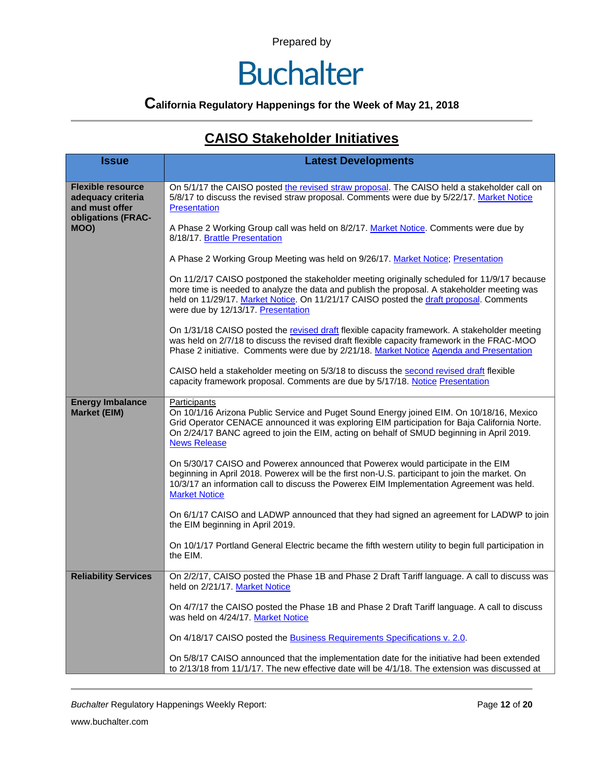### **Buchalter**

### **California Regulatory Happenings for the Week of May 21, 2018**

#### **CAISO Stakeholder Initiatives**

| <b>Issue</b>                                                                                  | <b>Latest Developments</b>                                                                                                                                                                                                                                                                                                   |  |  |  |  |
|-----------------------------------------------------------------------------------------------|------------------------------------------------------------------------------------------------------------------------------------------------------------------------------------------------------------------------------------------------------------------------------------------------------------------------------|--|--|--|--|
| <b>Flexible resource</b><br>adequacy criteria<br>and must offer<br>obligations (FRAC-<br>MOO) | On 5/1/17 the CAISO posted the revised straw proposal. The CAISO held a stakeholder call on<br>5/8/17 to discuss the revised straw proposal. Comments were due by 5/22/17. Market Notice<br>Presentation                                                                                                                     |  |  |  |  |
|                                                                                               | A Phase 2 Working Group call was held on 8/2/17. Market Notice. Comments were due by<br>8/18/17. Brattle Presentation                                                                                                                                                                                                        |  |  |  |  |
|                                                                                               | A Phase 2 Working Group Meeting was held on 9/26/17. Market Notice; Presentation                                                                                                                                                                                                                                             |  |  |  |  |
|                                                                                               | On 11/2/17 CAISO postponed the stakeholder meeting originally scheduled for 11/9/17 because<br>more time is needed to analyze the data and publish the proposal. A stakeholder meeting was<br>held on 11/29/17. Market Notice. On 11/21/17 CAISO posted the draft proposal. Comments<br>were due by 12/13/17. Presentation   |  |  |  |  |
|                                                                                               | On 1/31/18 CAISO posted the revised draft flexible capacity framework. A stakeholder meeting<br>was held on 2/7/18 to discuss the revised draft flexible capacity framework in the FRAC-MOO<br>Phase 2 initiative. Comments were due by 2/21/18. Market Notice Agenda and Presentation                                       |  |  |  |  |
|                                                                                               | CAISO held a stakeholder meeting on 5/3/18 to discuss the second revised draft flexible<br>capacity framework proposal. Comments are due by 5/17/18. Notice Presentation                                                                                                                                                     |  |  |  |  |
| <b>Energy Imbalance</b><br><b>Market (EIM)</b>                                                | Participants<br>On 10/1/16 Arizona Public Service and Puget Sound Energy joined EIM. On 10/18/16, Mexico<br>Grid Operator CENACE announced it was exploring EIM participation for Baja California Norte.<br>On 2/24/17 BANC agreed to join the EIM, acting on behalf of SMUD beginning in April 2019.<br><b>News Release</b> |  |  |  |  |
|                                                                                               | On 5/30/17 CAISO and Powerex announced that Powerex would participate in the EIM<br>beginning in April 2018. Powerex will be the first non-U.S. participant to join the market. On<br>10/3/17 an information call to discuss the Powerex EIM Implementation Agreement was held.<br><b>Market Notice</b>                      |  |  |  |  |
|                                                                                               | On 6/1/17 CAISO and LADWP announced that they had signed an agreement for LADWP to join<br>the EIM beginning in April 2019.                                                                                                                                                                                                  |  |  |  |  |
|                                                                                               | On 10/1/17 Portland General Electric became the fifth western utility to begin full participation in<br>the EIM.                                                                                                                                                                                                             |  |  |  |  |
| <b>Reliability Services</b>                                                                   | On 2/2/17, CAISO posted the Phase 1B and Phase 2 Draft Tariff language. A call to discuss was<br>held on 2/21/17. Market Notice                                                                                                                                                                                              |  |  |  |  |
|                                                                                               | On 4/7/17 the CAISO posted the Phase 1B and Phase 2 Draft Tariff language. A call to discuss<br>was held on 4/24/17. Market Notice                                                                                                                                                                                           |  |  |  |  |
|                                                                                               | On 4/18/17 CAISO posted the <b>Business Requirements Specifications v. 2.0.</b>                                                                                                                                                                                                                                              |  |  |  |  |
|                                                                                               | On 5/8/17 CAISO announced that the implementation date for the initiative had been extended<br>to 2/13/18 from 11/1/17. The new effective date will be 4/1/18. The extension was discussed at                                                                                                                                |  |  |  |  |

*Buchalter* Regulatory Happenings Weekly Report: Page **12** of **20**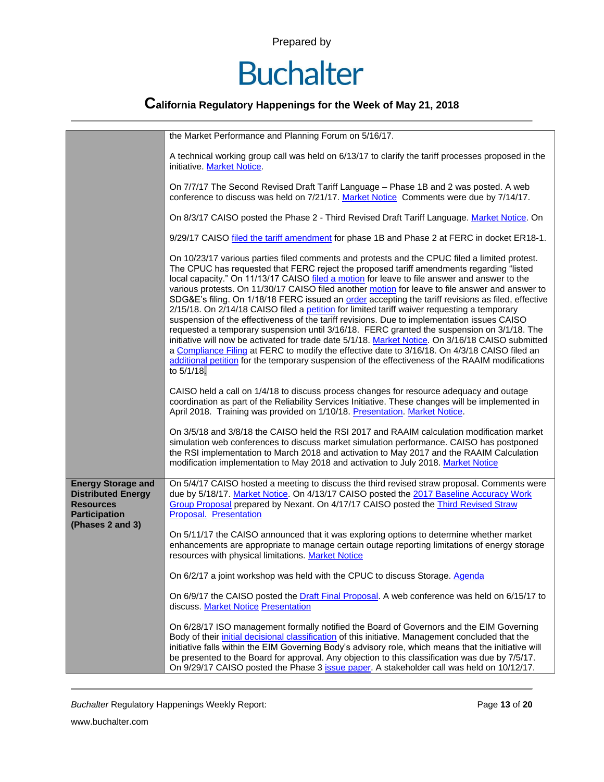# **Buchalter**

### **California Regulatory Happenings for the Week of May 21, 2018**

|                                                                                                                        | the Market Performance and Planning Forum on 5/16/17.                                                                                                                                                                                                                                                                                                                                                                                                                                                                                                                                                                                                                                                                                                                                                                                                                                                                                                                                                                                                                                                                  |  |  |  |
|------------------------------------------------------------------------------------------------------------------------|------------------------------------------------------------------------------------------------------------------------------------------------------------------------------------------------------------------------------------------------------------------------------------------------------------------------------------------------------------------------------------------------------------------------------------------------------------------------------------------------------------------------------------------------------------------------------------------------------------------------------------------------------------------------------------------------------------------------------------------------------------------------------------------------------------------------------------------------------------------------------------------------------------------------------------------------------------------------------------------------------------------------------------------------------------------------------------------------------------------------|--|--|--|
|                                                                                                                        | A technical working group call was held on 6/13/17 to clarify the tariff processes proposed in the<br>initiative. Market Notice.                                                                                                                                                                                                                                                                                                                                                                                                                                                                                                                                                                                                                                                                                                                                                                                                                                                                                                                                                                                       |  |  |  |
|                                                                                                                        | On 7/7/17 The Second Revised Draft Tariff Language - Phase 1B and 2 was posted. A web<br>conference to discuss was held on 7/21/17. Market Notice Comments were due by 7/14/17.                                                                                                                                                                                                                                                                                                                                                                                                                                                                                                                                                                                                                                                                                                                                                                                                                                                                                                                                        |  |  |  |
|                                                                                                                        | On 8/3/17 CAISO posted the Phase 2 - Third Revised Draft Tariff Language. Market Notice. On                                                                                                                                                                                                                                                                                                                                                                                                                                                                                                                                                                                                                                                                                                                                                                                                                                                                                                                                                                                                                            |  |  |  |
|                                                                                                                        | 9/29/17 CAISO filed the tariff amendment for phase 1B and Phase 2 at FERC in docket ER18-1.                                                                                                                                                                                                                                                                                                                                                                                                                                                                                                                                                                                                                                                                                                                                                                                                                                                                                                                                                                                                                            |  |  |  |
|                                                                                                                        | On 10/23/17 various parties filed comments and protests and the CPUC filed a limited protest.<br>The CPUC has requested that FERC reject the proposed tariff amendments regarding "listed<br>local capacity." On 11/13/17 CAISO filed a motion for leave to file answer and answer to the<br>various protests. On 11/30/17 CAISO filed another motion for leave to file answer and answer to<br>SDG&E's filing. On 1/18/18 FERC issued an order accepting the tariff revisions as filed, effective<br>2/15/18. On 2/14/18 CAISO filed a petition for limited tariff waiver requesting a temporary<br>suspension of the effectiveness of the tariff revisions. Due to implementation issues CAISO<br>requested a temporary suspension until 3/16/18. FERC granted the suspension on 3/1/18. The<br>initiative will now be activated for trade date 5/1/18. Market Notice. On 3/16/18 CAISO submitted<br>a Compliance Filing at FERC to modify the effective date to 3/16/18. On 4/3/18 CAISO filed an<br>additional petition for the temporary suspension of the effectiveness of the RAAIM modifications<br>to 5/1/18. |  |  |  |
|                                                                                                                        | CAISO held a call on 1/4/18 to discuss process changes for resource adequacy and outage<br>coordination as part of the Reliability Services Initiative. These changes will be implemented in<br>April 2018. Training was provided on 1/10/18. Presentation. Market Notice.                                                                                                                                                                                                                                                                                                                                                                                                                                                                                                                                                                                                                                                                                                                                                                                                                                             |  |  |  |
|                                                                                                                        | On 3/5/18 and 3/8/18 the CAISO held the RSI 2017 and RAAIM calculation modification market<br>simulation web conferences to discuss market simulation performance. CAISO has postponed<br>the RSI implementation to March 2018 and activation to May 2017 and the RAAIM Calculation<br>modification implementation to May 2018 and activation to July 2018. Market Notice                                                                                                                                                                                                                                                                                                                                                                                                                                                                                                                                                                                                                                                                                                                                              |  |  |  |
| <b>Energy Storage and</b><br><b>Distributed Energy</b><br><b>Resources</b><br><b>Participation</b><br>(Phases 2 and 3) | On 5/4/17 CAISO hosted a meeting to discuss the third revised straw proposal. Comments were<br>due by 5/18/17. Market Notice. On 4/13/17 CAISO posted the 2017 Baseline Accuracy Work<br>Group Proposal prepared by Nexant. On 4/17/17 CAISO posted the Third Revised Straw<br>Proposal. Presentation                                                                                                                                                                                                                                                                                                                                                                                                                                                                                                                                                                                                                                                                                                                                                                                                                  |  |  |  |
|                                                                                                                        | On 5/11/17 the CAISO announced that it was exploring options to determine whether market<br>enhancements are appropriate to manage certain outage reporting limitations of energy storage<br>resources with physical limitations. Market Notice                                                                                                                                                                                                                                                                                                                                                                                                                                                                                                                                                                                                                                                                                                                                                                                                                                                                        |  |  |  |
|                                                                                                                        | On 6/2/17 a joint workshop was held with the CPUC to discuss Storage. Agenda                                                                                                                                                                                                                                                                                                                                                                                                                                                                                                                                                                                                                                                                                                                                                                                                                                                                                                                                                                                                                                           |  |  |  |
|                                                                                                                        | On 6/9/17 the CAISO posted the Draft Final Proposal. A web conference was held on 6/15/17 to<br>discuss. Market Notice Presentation                                                                                                                                                                                                                                                                                                                                                                                                                                                                                                                                                                                                                                                                                                                                                                                                                                                                                                                                                                                    |  |  |  |
|                                                                                                                        | On 6/28/17 ISO management formally notified the Board of Governors and the EIM Governing<br>Body of their initial decisional classification of this initiative. Management concluded that the<br>initiative falls within the EIM Governing Body's advisory role, which means that the initiative will<br>be presented to the Board for approval. Any objection to this classification was due by 7/5/17.<br>On 9/29/17 CAISO posted the Phase 3 issue paper. A stakeholder call was held on 10/12/17.                                                                                                                                                                                                                                                                                                                                                                                                                                                                                                                                                                                                                  |  |  |  |

*Buchalter* Regulatory Happenings Weekly Report: Page **13** of **20**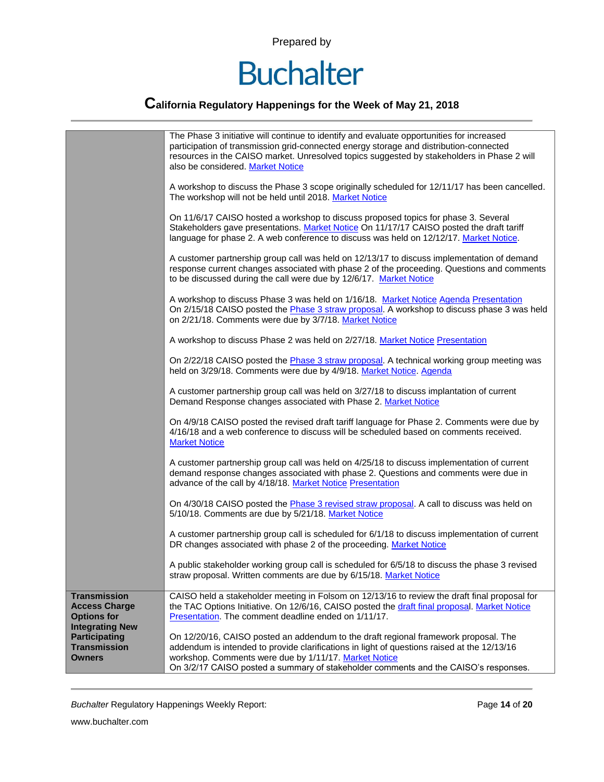

### **California Regulatory Happenings for the Week of May 21, 2018**

|                                                                                        | The Phase 3 initiative will continue to identify and evaluate opportunities for increased<br>participation of transmission grid-connected energy storage and distribution-connected<br>resources in the CAISO market. Unresolved topics suggested by stakeholders in Phase 2 will<br>also be considered. Market Notice             |
|----------------------------------------------------------------------------------------|------------------------------------------------------------------------------------------------------------------------------------------------------------------------------------------------------------------------------------------------------------------------------------------------------------------------------------|
|                                                                                        | A workshop to discuss the Phase 3 scope originally scheduled for 12/11/17 has been cancelled.<br>The workshop will not be held until 2018. Market Notice                                                                                                                                                                           |
|                                                                                        | On 11/6/17 CAISO hosted a workshop to discuss proposed topics for phase 3. Several<br>Stakeholders gave presentations. Market Notice On 11/17/17 CAISO posted the draft tariff<br>language for phase 2. A web conference to discuss was held on 12/12/17. Market Notice.                                                           |
|                                                                                        | A customer partnership group call was held on 12/13/17 to discuss implementation of demand<br>response current changes associated with phase 2 of the proceeding. Questions and comments<br>to be discussed during the call were due by 12/6/17. Market Notice                                                                     |
|                                                                                        | A workshop to discuss Phase 3 was held on 1/16/18. Market Notice Agenda Presentation<br>On 2/15/18 CAISO posted the Phase 3 straw proposal. A workshop to discuss phase 3 was held<br>on 2/21/18. Comments were due by 3/7/18. Market Notice                                                                                       |
|                                                                                        | A workshop to discuss Phase 2 was held on 2/27/18. Market Notice Presentation                                                                                                                                                                                                                                                      |
|                                                                                        | On 2/22/18 CAISO posted the Phase 3 straw proposal. A technical working group meeting was<br>held on 3/29/18. Comments were due by 4/9/18. Market Notice. Agenda                                                                                                                                                                   |
|                                                                                        | A customer partnership group call was held on 3/27/18 to discuss implantation of current<br>Demand Response changes associated with Phase 2. Market Notice                                                                                                                                                                         |
|                                                                                        | On 4/9/18 CAISO posted the revised draft tariff language for Phase 2. Comments were due by<br>4/16/18 and a web conference to discuss will be scheduled based on comments received.<br><b>Market Notice</b>                                                                                                                        |
|                                                                                        | A customer partnership group call was held on 4/25/18 to discuss implementation of current<br>demand response changes associated with phase 2. Questions and comments were due in<br>advance of the call by 4/18/18. Market Notice Presentation                                                                                    |
|                                                                                        | On 4/30/18 CAISO posted the Phase 3 revised straw proposal. A call to discuss was held on<br>5/10/18. Comments are due by 5/21/18. Market Notice                                                                                                                                                                                   |
|                                                                                        | A customer partnership group call is scheduled for 6/1/18 to discuss implementation of current<br>DR changes associated with phase 2 of the proceeding. Market Notice                                                                                                                                                              |
|                                                                                        | A public stakeholder working group call is scheduled for 6/5/18 to discuss the phase 3 revised<br>straw proposal. Written comments are due by 6/15/18. Market Notice                                                                                                                                                               |
| <b>Transmission</b><br><b>Access Charge</b><br><b>Options for</b>                      | CAISO held a stakeholder meeting in Folsom on 12/13/16 to review the draft final proposal for<br>the TAC Options Initiative. On 12/6/16, CAISO posted the draft final proposal. Market Notice<br>Presentation. The comment deadline ended on 1/11/17.                                                                              |
| <b>Integrating New</b><br><b>Participating</b><br><b>Transmission</b><br><b>Owners</b> | On 12/20/16, CAISO posted an addendum to the draft regional framework proposal. The<br>addendum is intended to provide clarifications in light of questions raised at the 12/13/16<br>workshop. Comments were due by 1/11/17. Market Notice<br>On 3/2/17 CAISO posted a summary of stakeholder comments and the CAISO's responses. |

*Buchalter* Regulatory Happenings Weekly Report: Page **14** of **20**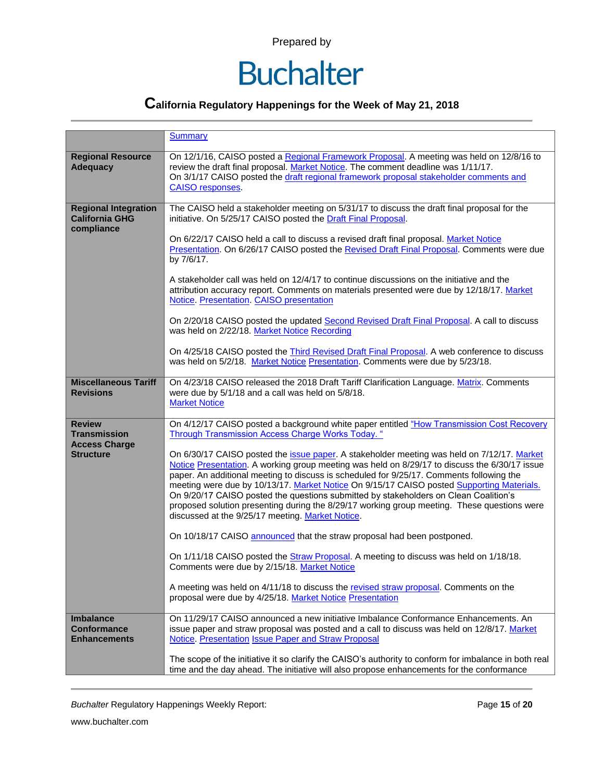

### **California Regulatory Happenings for the Week of May 21, 2018**

|                                                                    | <b>Summary</b>                                                                                                                                                                                                                                                                                                                                                                                                                                                                                                                                                                                                                  |  |  |  |
|--------------------------------------------------------------------|---------------------------------------------------------------------------------------------------------------------------------------------------------------------------------------------------------------------------------------------------------------------------------------------------------------------------------------------------------------------------------------------------------------------------------------------------------------------------------------------------------------------------------------------------------------------------------------------------------------------------------|--|--|--|
| <b>Regional Resource</b><br><b>Adequacy</b>                        | On 12/1/16, CAISO posted a Regional Framework Proposal. A meeting was held on 12/8/16 to<br>review the draft final proposal. Market Notice. The comment deadline was 1/11/17.<br>On 3/1/17 CAISO posted the draft regional framework proposal stakeholder comments and<br><b>CAISO</b> responses.                                                                                                                                                                                                                                                                                                                               |  |  |  |
| <b>Regional Integration</b><br><b>California GHG</b><br>compliance | The CAISO held a stakeholder meeting on 5/31/17 to discuss the draft final proposal for the<br>initiative. On 5/25/17 CAISO posted the Draft Final Proposal.                                                                                                                                                                                                                                                                                                                                                                                                                                                                    |  |  |  |
|                                                                    | On 6/22/17 CAISO held a call to discuss a revised draft final proposal. Market Notice<br>Presentation. On 6/26/17 CAISO posted the Revised Draft Final Proposal. Comments were due<br>by 7/6/17.                                                                                                                                                                                                                                                                                                                                                                                                                                |  |  |  |
|                                                                    | A stakeholder call was held on 12/4/17 to continue discussions on the initiative and the<br>attribution accuracy report. Comments on materials presented were due by 12/18/17. Market<br>Notice. Presentation. CAISO presentation                                                                                                                                                                                                                                                                                                                                                                                               |  |  |  |
|                                                                    | On 2/20/18 CAISO posted the updated Second Revised Draft Final Proposal. A call to discuss<br>was held on 2/22/18. Market Notice Recording                                                                                                                                                                                                                                                                                                                                                                                                                                                                                      |  |  |  |
|                                                                    | On 4/25/18 CAISO posted the Third Revised Draft Final Proposal. A web conference to discuss<br>was held on 5/2/18. Market Notice Presentation. Comments were due by 5/23/18.                                                                                                                                                                                                                                                                                                                                                                                                                                                    |  |  |  |
| <b>Miscellaneous Tariff</b><br><b>Revisions</b>                    | On 4/23/18 CAISO released the 2018 Draft Tariff Clarification Language. Matrix. Comments<br>were due by 5/1/18 and a call was held on 5/8/18.<br><b>Market Notice</b>                                                                                                                                                                                                                                                                                                                                                                                                                                                           |  |  |  |
| <b>Review</b><br><b>Transmission</b>                               | On 4/12/17 CAISO posted a background white paper entitled "How Transmission Cost Recovery<br><b>Through Transmission Access Charge Works Today.</b> "                                                                                                                                                                                                                                                                                                                                                                                                                                                                           |  |  |  |
| <b>Access Charge</b><br><b>Structure</b>                           | On 6/30/17 CAISO posted the issue paper. A stakeholder meeting was held on 7/12/17. Market<br>Notice Presentation. A working group meeting was held on 8/29/17 to discuss the 6/30/17 issue<br>paper. An additional meeting to discuss is scheduled for 9/25/17. Comments following the<br>meeting were due by 10/13/17. Market Notice On 9/15/17 CAISO posted Supporting Materials.<br>On 9/20/17 CAISO posted the questions submitted by stakeholders on Clean Coalition's<br>proposed solution presenting during the 8/29/17 working group meeting. These questions were<br>discussed at the 9/25/17 meeting. Market Notice. |  |  |  |
|                                                                    | On 10/18/17 CAISO announced that the straw proposal had been postponed.                                                                                                                                                                                                                                                                                                                                                                                                                                                                                                                                                         |  |  |  |
|                                                                    | On 1/11/18 CAISO posted the <b>Straw Proposal</b> . A meeting to discuss was held on 1/18/18.<br>Comments were due by 2/15/18. Market Notice                                                                                                                                                                                                                                                                                                                                                                                                                                                                                    |  |  |  |
|                                                                    | A meeting was held on 4/11/18 to discuss the revised straw proposal. Comments on the<br>proposal were due by 4/25/18. Market Notice Presentation                                                                                                                                                                                                                                                                                                                                                                                                                                                                                |  |  |  |
| <b>Imbalance</b><br><b>Conformance</b><br><b>Enhancements</b>      | On 11/29/17 CAISO announced a new initiative Imbalance Conformance Enhancements. An<br>issue paper and straw proposal was posted and a call to discuss was held on 12/8/17. Market<br>Notice. Presentation Issue Paper and Straw Proposal                                                                                                                                                                                                                                                                                                                                                                                       |  |  |  |
|                                                                    | The scope of the initiative it so clarify the CAISO's authority to conform for imbalance in both real<br>time and the day ahead. The initiative will also propose enhancements for the conformance                                                                                                                                                                                                                                                                                                                                                                                                                              |  |  |  |

*Buchalter* Regulatory Happenings Weekly Report: Page **15** of **20**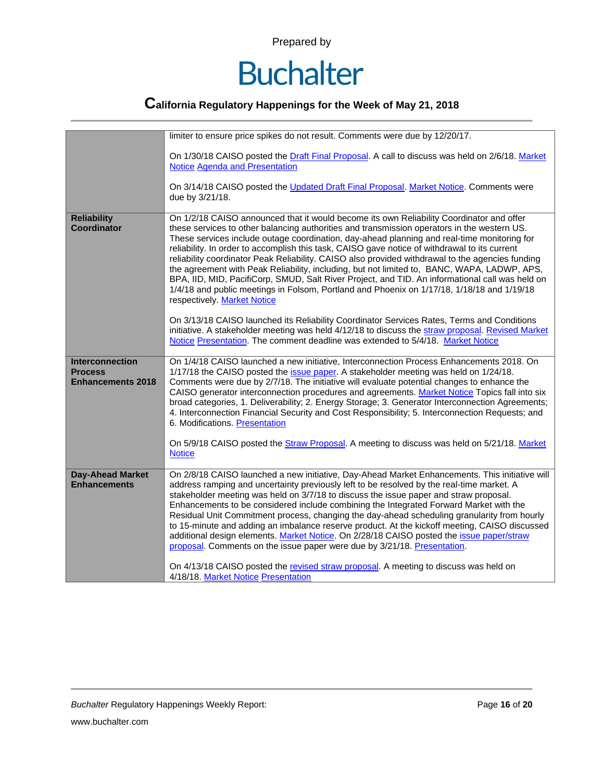

|                                                                      | limiter to ensure price spikes do not result. Comments were due by 12/20/17.                                                                                                                                                                                                                                                                                                                                                                                                                                                                                                                                                                                                                                                                                                                                               |  |  |  |  |
|----------------------------------------------------------------------|----------------------------------------------------------------------------------------------------------------------------------------------------------------------------------------------------------------------------------------------------------------------------------------------------------------------------------------------------------------------------------------------------------------------------------------------------------------------------------------------------------------------------------------------------------------------------------------------------------------------------------------------------------------------------------------------------------------------------------------------------------------------------------------------------------------------------|--|--|--|--|
|                                                                      | On 1/30/18 CAISO posted the Draft Final Proposal. A call to discuss was held on 2/6/18. Market<br><b>Notice Agenda and Presentation</b>                                                                                                                                                                                                                                                                                                                                                                                                                                                                                                                                                                                                                                                                                    |  |  |  |  |
|                                                                      | On 3/14/18 CAISO posted the Updated Draft Final Proposal. Market Notice. Comments were<br>due by 3/21/18.                                                                                                                                                                                                                                                                                                                                                                                                                                                                                                                                                                                                                                                                                                                  |  |  |  |  |
| <b>Reliability</b><br><b>Coordinator</b>                             | On 1/2/18 CAISO announced that it would become its own Reliability Coordinator and offer<br>these services to other balancing authorities and transmission operators in the western US.<br>These services include outage coordination, day-ahead planning and real-time monitoring for<br>reliability. In order to accomplish this task, CAISO gave notice of withdrawal to its current<br>reliability coordinator Peak Reliability. CAISO also provided withdrawal to the agencies funding<br>the agreement with Peak Reliability, including, but not limited to, BANC, WAPA, LADWP, APS,<br>BPA, IID, MID, PacifiCorp, SMUD, Salt River Project, and TID. An informational call was held on<br>1/4/18 and public meetings in Folsom, Portland and Phoenix on 1/17/18, 1/18/18 and 1/19/18<br>respectively. Market Notice |  |  |  |  |
|                                                                      | On 3/13/18 CAISO launched its Reliability Coordinator Services Rates, Terms and Conditions<br>initiative. A stakeholder meeting was held 4/12/18 to discuss the straw proposal. Revised Market<br>Notice Presentation. The comment deadline was extended to 5/4/18. Market Notice                                                                                                                                                                                                                                                                                                                                                                                                                                                                                                                                          |  |  |  |  |
| <b>Interconnection</b><br><b>Process</b><br><b>Enhancements 2018</b> | On 1/4/18 CAISO launched a new initiative, Interconnection Process Enhancements 2018. On<br>1/17/18 the CAISO posted the issue paper. A stakeholder meeting was held on 1/24/18.<br>Comments were due by 2/7/18. The initiative will evaluate potential changes to enhance the<br>CAISO generator interconnection procedures and agreements. Market Notice Topics fall into six<br>broad categories, 1. Deliverability; 2. Energy Storage; 3. Generator Interconnection Agreements;<br>4. Interconnection Financial Security and Cost Responsibility; 5. Interconnection Requests; and<br>6. Modifications. Presentation                                                                                                                                                                                                   |  |  |  |  |
|                                                                      | On 5/9/18 CAISO posted the Straw Proposal. A meeting to discuss was held on 5/21/18. Market<br><b>Notice</b>                                                                                                                                                                                                                                                                                                                                                                                                                                                                                                                                                                                                                                                                                                               |  |  |  |  |
| <b>Day-Ahead Market</b><br><b>Enhancements</b>                       | On 2/8/18 CAISO launched a new initiative, Day-Ahead Market Enhancements. This initiative will<br>address ramping and uncertainty previously left to be resolved by the real-time market. A<br>stakeholder meeting was held on 3/7/18 to discuss the issue paper and straw proposal.<br>Enhancements to be considered include combining the Integrated Forward Market with the<br>Residual Unit Commitment process, changing the day-ahead scheduling granularity from hourly<br>to 15-minute and adding an imbalance reserve product. At the kickoff meeting, CAISO discussed<br>additional design elements. Market Notice. On 2/28/18 CAISO posted the issue paper/straw<br>proposal. Comments on the issue paper were due by 3/21/18. Presentation.                                                                     |  |  |  |  |
|                                                                      | On 4/13/18 CAISO posted the revised straw proposal. A meeting to discuss was held on<br>4/18/18. Market Notice Presentation                                                                                                                                                                                                                                                                                                                                                                                                                                                                                                                                                                                                                                                                                                |  |  |  |  |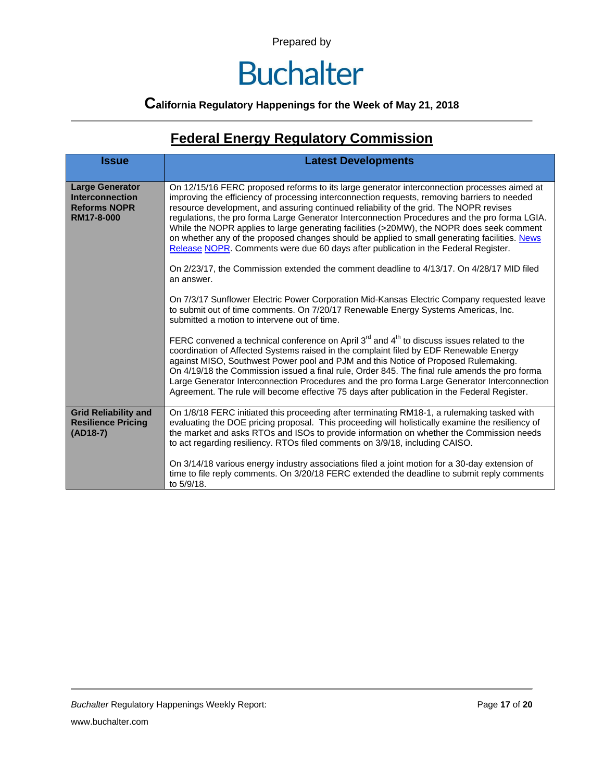### **Buchalter**

### **California Regulatory Happenings for the Week of May 21, 2018**

### **Federal Energy Regulatory Commission**

| <b>Issue</b>                                                                          | <b>Latest Developments</b>                                                                                                                                                                                                                                                                                                                                                                                                                                                                                                                                                                                                                                                 |  |  |  |
|---------------------------------------------------------------------------------------|----------------------------------------------------------------------------------------------------------------------------------------------------------------------------------------------------------------------------------------------------------------------------------------------------------------------------------------------------------------------------------------------------------------------------------------------------------------------------------------------------------------------------------------------------------------------------------------------------------------------------------------------------------------------------|--|--|--|
| <b>Large Generator</b><br><b>Interconnection</b><br><b>Reforms NOPR</b><br>RM17-8-000 | On 12/15/16 FERC proposed reforms to its large generator interconnection processes aimed at<br>improving the efficiency of processing interconnection requests, removing barriers to needed<br>resource development, and assuring continued reliability of the grid. The NOPR revises<br>regulations, the pro forma Large Generator Interconnection Procedures and the pro forma LGIA.<br>While the NOPR applies to large generating facilities (>20MW), the NOPR does seek comment<br>on whether any of the proposed changes should be applied to small generating facilities. News<br>Release NOPR. Comments were due 60 days after publication in the Federal Register. |  |  |  |
|                                                                                       | On 2/23/17, the Commission extended the comment deadline to 4/13/17. On 4/28/17 MID filed<br>an answer.                                                                                                                                                                                                                                                                                                                                                                                                                                                                                                                                                                    |  |  |  |
|                                                                                       | On 7/3/17 Sunflower Electric Power Corporation Mid-Kansas Electric Company requested leave<br>to submit out of time comments. On 7/20/17 Renewable Energy Systems Americas, Inc.<br>submitted a motion to intervene out of time.                                                                                                                                                                                                                                                                                                                                                                                                                                           |  |  |  |
|                                                                                       | FERC convened a technical conference on April 3 <sup>rd</sup> and 4 <sup>th</sup> to discuss issues related to the<br>coordination of Affected Systems raised in the complaint filed by EDF Renewable Energy<br>against MISO, Southwest Power pool and PJM and this Notice of Proposed Rulemaking.<br>On 4/19/18 the Commission issued a final rule, Order 845. The final rule amends the pro forma<br>Large Generator Interconnection Procedures and the pro forma Large Generator Interconnection<br>Agreement. The rule will become effective 75 days after publication in the Federal Register.                                                                        |  |  |  |
| <b>Grid Reliability and</b><br><b>Resilience Pricing</b><br>$(AD18-7)$                | On 1/8/18 FERC initiated this proceeding after terminating RM18-1, a rulemaking tasked with<br>evaluating the DOE pricing proposal. This proceeding will holistically examine the resiliency of<br>the market and asks RTOs and ISOs to provide information on whether the Commission needs<br>to act regarding resiliency. RTOs filed comments on 3/9/18, including CAISO.                                                                                                                                                                                                                                                                                                |  |  |  |
|                                                                                       | On 3/14/18 various energy industry associations filed a joint motion for a 30-day extension of<br>time to file reply comments. On 3/20/18 FERC extended the deadline to submit reply comments<br>to 5/9/18.                                                                                                                                                                                                                                                                                                                                                                                                                                                                |  |  |  |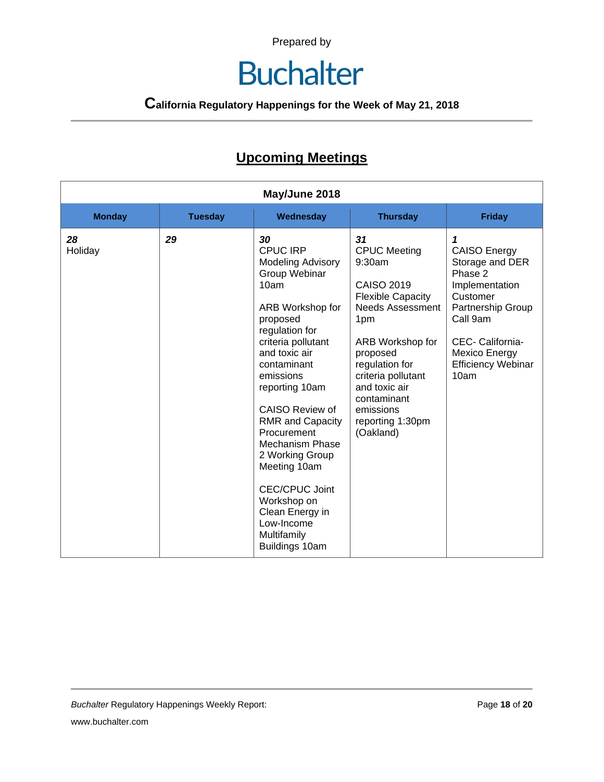### **Buchalter**

**California Regulatory Happenings for the Week of May 21, 2018**

### **Upcoming Meetings**

| May/June 2018 |                |                                                                                                                                                                                                                                                                                                                                                                                                                                                       |                                                                                                                                                                                                                                                                              |                                                                                                                                                                                                 |
|---------------|----------------|-------------------------------------------------------------------------------------------------------------------------------------------------------------------------------------------------------------------------------------------------------------------------------------------------------------------------------------------------------------------------------------------------------------------------------------------------------|------------------------------------------------------------------------------------------------------------------------------------------------------------------------------------------------------------------------------------------------------------------------------|-------------------------------------------------------------------------------------------------------------------------------------------------------------------------------------------------|
| <b>Monday</b> | <b>Tuesday</b> | Wednesday                                                                                                                                                                                                                                                                                                                                                                                                                                             | <b>Thursday</b>                                                                                                                                                                                                                                                              | <b>Friday</b>                                                                                                                                                                                   |
| 28<br>Holiday | 29             | 30<br><b>CPUC IRP</b><br><b>Modeling Advisory</b><br>Group Webinar<br>10am<br>ARB Workshop for<br>proposed<br>regulation for<br>criteria pollutant<br>and toxic air<br>contaminant<br>emissions<br>reporting 10am<br><b>CAISO Review of</b><br><b>RMR and Capacity</b><br>Procurement<br>Mechanism Phase<br>2 Working Group<br>Meeting 10am<br><b>CEC/CPUC Joint</b><br>Workshop on<br>Clean Energy in<br>Low-Income<br>Multifamily<br>Buildings 10am | 31<br><b>CPUC Meeting</b><br>9:30am<br><b>CAISO 2019</b><br><b>Flexible Capacity</b><br><b>Needs Assessment</b><br>1pm<br>ARB Workshop for<br>proposed<br>regulation for<br>criteria pollutant<br>and toxic air<br>contaminant<br>emissions<br>reporting 1:30pm<br>(Oakland) | 1<br><b>CAISO Energy</b><br>Storage and DER<br>Phase 2<br>Implementation<br>Customer<br>Partnership Group<br>Call 9am<br>CEC- California-<br>Mexico Energy<br><b>Efficiency Webinar</b><br>10am |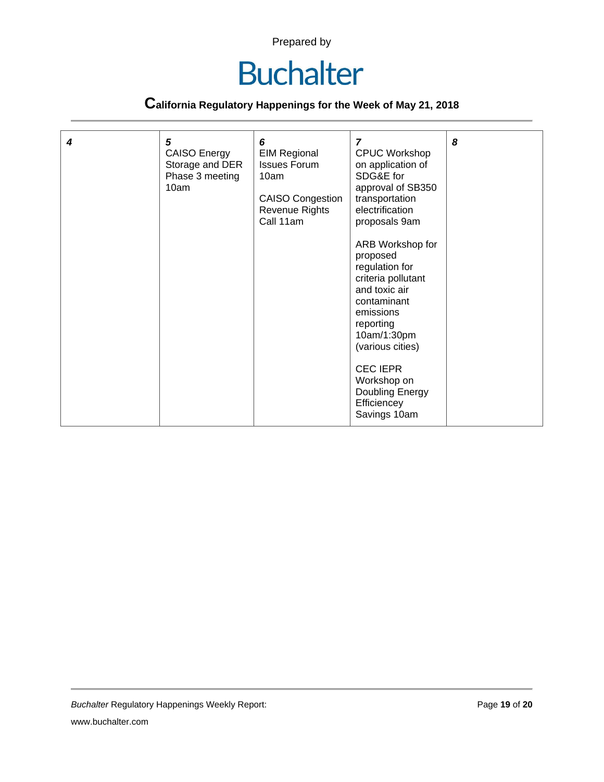

| 4 | 5<br><b>CAISO Energy</b><br>Storage and DER<br>Phase 3 meeting<br>10am | 6<br><b>EIM Regional</b><br><b>Issues Forum</b><br>10am<br><b>CAISO Congestion</b><br>Revenue Rights<br>Call 11am | $\overline{ }$<br><b>CPUC Workshop</b><br>on application of<br>SDG&E for<br>approval of SB350<br>transportation<br>electrification<br>proposals 9am<br>ARB Workshop for<br>proposed<br>regulation for<br>criteria pollutant<br>and toxic air<br>contaminant<br>emissions<br>reporting<br>10am/1:30pm<br>(various cities)<br><b>CEC IEPR</b><br>Workshop on<br>Doubling Energy<br>Efficiencey<br>Savings 10am | 8 |
|---|------------------------------------------------------------------------|-------------------------------------------------------------------------------------------------------------------|--------------------------------------------------------------------------------------------------------------------------------------------------------------------------------------------------------------------------------------------------------------------------------------------------------------------------------------------------------------------------------------------------------------|---|
|---|------------------------------------------------------------------------|-------------------------------------------------------------------------------------------------------------------|--------------------------------------------------------------------------------------------------------------------------------------------------------------------------------------------------------------------------------------------------------------------------------------------------------------------------------------------------------------------------------------------------------------|---|